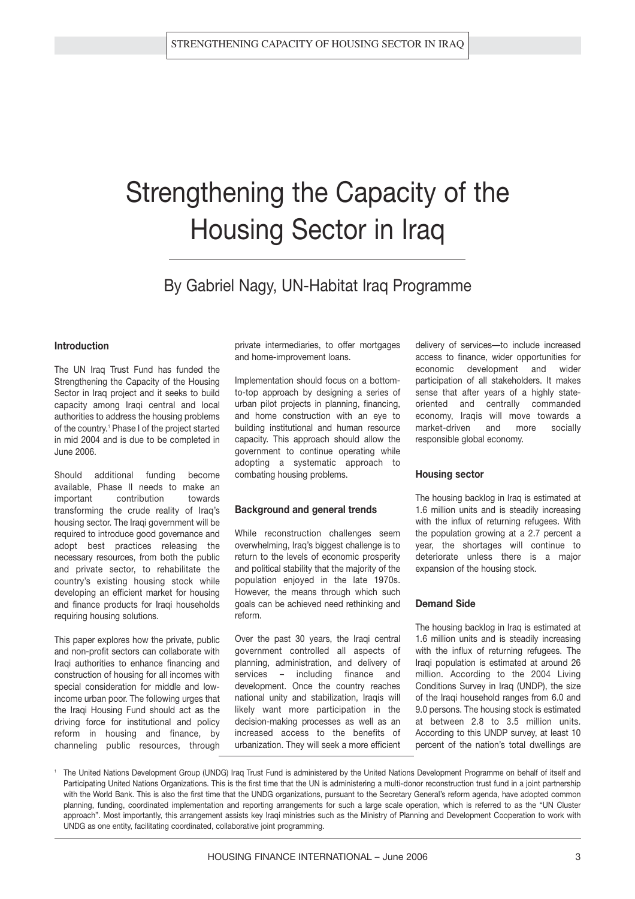## Strengthening the Capacity of the Housing Sector in Iraq

By Gabriel Nagy, UN-Habitat Iraq Programme

#### **Introduction**

The UN Iraq Trust Fund has funded the Strengthening the Capacity of the Housing Sector in Iraq project and it seeks to build capacity among Iraqi central and local authorities to address the housing problems of the country.<sup>1</sup> Phase I of the project started in mid 2004 and is due to be completed in June 2006.

Should additional funding become available, Phase II needs to make an important contribution towards transforming the crude reality of Iraq's housing sector. The Iraqi government will be required to introduce good governance and adopt best practices releasing the necessary resources, from both the public and private sector, to rehabilitate the country's existing housing stock while developing an efficient market for housing and finance products for Iraqi households requiring housing solutions.

This paper explores how the private, public and non-profit sectors can collaborate with Iraqi authorities to enhance financing and construction of housing for all incomes with special consideration for middle and lowincome urban poor. The following urges that the Iraqi Housing Fund should act as the driving force for institutional and policy reform in housing and finance, by channeling public resources, through private intermediaries, to offer mortgages and home-improvement loans.

Implementation should focus on a bottomto-top approach by designing a series of urban pilot projects in planning, financing, and home construction with an eye to building institutional and human resource capacity. This approach should allow the government to continue operating while adopting a systematic approach to combating housing problems.

#### **Background and general trends**

While reconstruction challenges seem overwhelming, Iraq's biggest challenge is to return to the levels of economic prosperity and political stability that the majority of the population enjoyed in the late 1970s. However, the means through which such goals can be achieved need rethinking and reform.

Over the past 30 years, the Iraqi central government controlled all aspects of planning, administration, and delivery of services – including finance and development. Once the country reaches national unity and stabilization, Iraqis will likely want more participation in the decision-making processes as well as an increased access to the benefits of urbanization. They will seek a more efficient delivery of services—to include increased access to finance, wider opportunities for economic development and wider participation of all stakeholders. It makes sense that after years of a highly stateoriented and centrally commanded economy, Iraqis will move towards a market-driven and more socially responsible global economy.

#### **Housing sector**

The housing backlog in Iraq is estimated at 1.6 million units and is steadily increasing with the influx of returning refugees. With the population growing at a 2.7 percent a year, the shortages will continue to deteriorate unless there is a major expansion of the housing stock.

#### **Demand Side**

The housing backlog in Iraq is estimated at 1.6 million units and is steadily increasing with the influx of returning refugees. The Iraqi population is estimated at around 26 million. According to the 2004 Living Conditions Survey in Iraq (UNDP), the size of the Iraqi household ranges from 6.0 and 9.0 persons. The housing stock is estimated at between 2.8 to 3.5 million units. According to this UNDP survey, at least 10 percent of the nation's total dwellings are

<sup>1</sup> The United Nations Development Group (UNDG) Iraq Trust Fund is administered by the United Nations Development Programme on behalf of itself and Participating United Nations Organizations. This is the first time that the UN is administering a multi-donor reconstruction trust fund in a joint partnership with the World Bank. This is also the first time that the UNDG organizations, pursuant to the Secretary General's reform agenda, have adopted common planning, funding, coordinated implementation and reporting arrangements for such a large scale operation, which is referred to as the "UN Cluster approach". Most importantly, this arrangement assists key Iraqi ministries such as the Ministry of Planning and Development Cooperation to work with UNDG as one entity, facilitating coordinated, collaborative joint programming.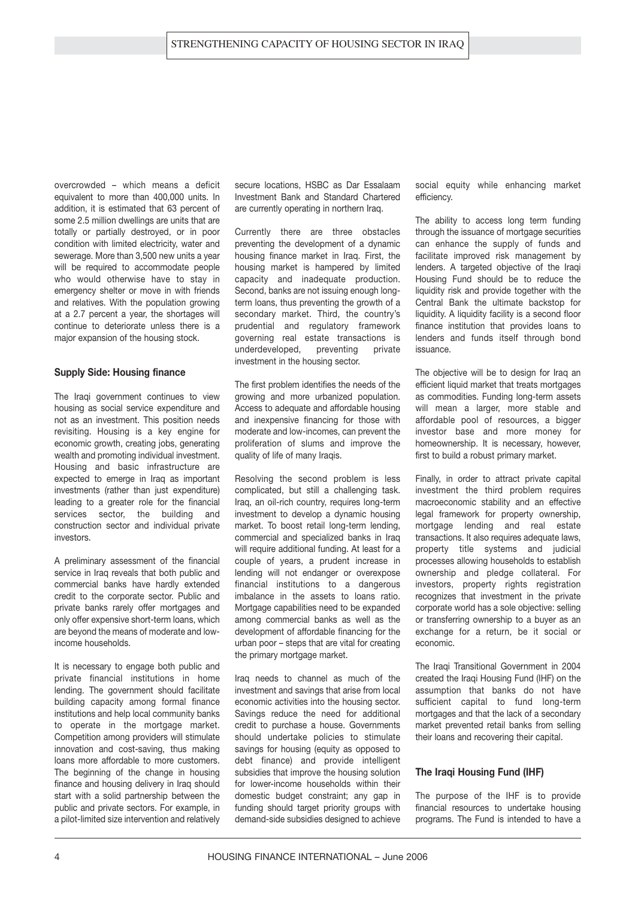overcrowded – which means a deficit equivalent to more than 400,000 units. In addition, it is estimated that 63 percent of some 2.5 million dwellings are units that are totally or partially destroyed, or in poor condition with limited electricity, water and sewerage. More than 3,500 new units a year will be required to accommodate people who would otherwise have to stay in emergency shelter or move in with friends and relatives. With the population growing at a 2.7 percent a year, the shortages will continue to deteriorate unless there is a major expansion of the housing stock.

#### **Supply Side: Housing finance**

The Iraqi government continues to view housing as social service expenditure and not as an investment. This position needs revisiting. Housing is a key engine for economic growth, creating jobs, generating wealth and promoting individual investment. Housing and basic infrastructure are expected to emerge in Iraq as important investments (rather than just expenditure) leading to a greater role for the financial services sector, the building and construction sector and individual private investors.

A preliminary assessment of the financial service in Iraq reveals that both public and commercial banks have hardly extended credit to the corporate sector. Public and private banks rarely offer mortgages and only offer expensive short-term loans, which are beyond the means of moderate and lowincome households.

It is necessary to engage both public and private financial institutions in home lending. The government should facilitate building capacity among formal finance institutions and help local community banks to operate in the mortgage market. Competition among providers will stimulate innovation and cost-saving, thus making loans more affordable to more customers. The beginning of the change in housing finance and housing delivery in Iraq should start with a solid partnership between the public and private sectors. For example, in a pilot-limited size intervention and relatively

secure locations, HSBC as Dar Essalaam Investment Bank and Standard Chartered are currently operating in northern Iraq.

Currently there are three obstacles preventing the development of a dynamic housing finance market in Iraq. First, the housing market is hampered by limited capacity and inadequate production. Second, banks are not issuing enough longterm loans, thus preventing the growth of a secondary market. Third, the country's prudential and regulatory framework governing real estate transactions is underdeveloped, preventing private investment in the housing sector.

The first problem identifies the needs of the growing and more urbanized population. Access to adequate and affordable housing and inexpensive financing for those with moderate and low-incomes, can prevent the proliferation of slums and improve the quality of life of many Iraqis.

Resolving the second problem is less complicated, but still a challenging task. Iraq, an oil-rich country, requires long-term investment to develop a dynamic housing market. To boost retail long-term lending, commercial and specialized banks in Iraq will require additional funding. At least for a couple of years, a prudent increase in lending will not endanger or overexpose financial institutions to a dangerous imbalance in the assets to loans ratio. Mortgage capabilities need to be expanded among commercial banks as well as the development of affordable financing for the urban poor – steps that are vital for creating the primary mortgage market.

Iraq needs to channel as much of the investment and savings that arise from local economic activities into the housing sector. Savings reduce the need for additional credit to purchase a house. Governments should undertake policies to stimulate savings for housing (equity as opposed to debt finance) and provide intelligent subsidies that improve the housing solution for lower-income households within their domestic budget constraint; any gap in funding should target priority groups with demand-side subsidies designed to achieve social equity while enhancing market efficiency.

The ability to access long term funding through the issuance of mortgage securities can enhance the supply of funds and facilitate improved risk management by lenders. A targeted objective of the Iraqi Housing Fund should be to reduce the liquidity risk and provide together with the Central Bank the ultimate backstop for liquidity. A liquidity facility is a second floor finance institution that provides loans to lenders and funds itself through bond issuance.

The objective will be to design for Iraq an efficient liquid market that treats mortgages as commodities. Funding long-term assets will mean a larger, more stable and affordable pool of resources, a bigger investor base and more money for homeownership. It is necessary, however, first to build a robust primary market.

Finally, in order to attract private capital investment the third problem requires macroeconomic stability and an effective legal framework for property ownership, mortgage lending and real estate transactions. It also requires adequate laws, property title systems and judicial processes allowing households to establish ownership and pledge collateral. For investors, property rights registration recognizes that investment in the private corporate world has a sole objective: selling or transferring ownership to a buyer as an exchange for a return, be it social or economic.

The Iraqi Transitional Government in 2004 created the Iraqi Housing Fund (IHF) on the assumption that banks do not have sufficient capital to fund long-term mortgages and that the lack of a secondary market prevented retail banks from selling their loans and recovering their capital.

#### **The Iraqi Housing Fund (IHF)**

The purpose of the IHF is to provide financial resources to undertake housing programs. The Fund is intended to have a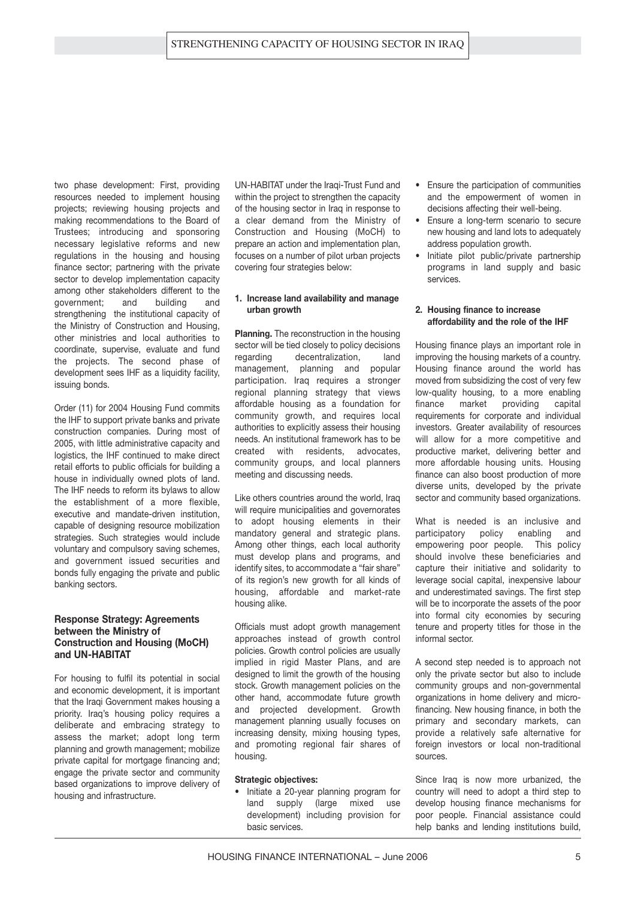two phase development: First, providing resources needed to implement housing projects; reviewing housing projects and making recommendations to the Board of Trustees; introducing and sponsoring necessary legislative reforms and new regulations in the housing and housing finance sector; partnering with the private sector to develop implementation capacity among other stakeholders different to the government; and building and strengthening the institutional capacity of the Ministry of Construction and Housing, other ministries and local authorities to coordinate, supervise, evaluate and fund the projects. The second phase of development sees IHF as a liquidity facility, issuing bonds.

Order (11) for 2004 Housing Fund commits the IHF to support private banks and private construction companies. During most of 2005, with little administrative capacity and logistics, the IHF continued to make direct retail efforts to public officials for building a house in individually owned plots of land. The IHF needs to reform its bylaws to allow the establishment of a more flexible, executive and mandate-driven institution, capable of designing resource mobilization strategies. Such strategies would include voluntary and compulsory saving schemes, and government issued securities and bonds fully engaging the private and public banking sectors.

#### **Response Strategy: Agreements between the Ministry of Construction and Housing (MoCH) and UN-HABITAT**

For housing to fulfil its potential in social and economic development, it is important that the Iraqi Government makes housing a priority. Iraq's housing policy requires a deliberate and embracing strategy to assess the market; adopt long term planning and growth management; mobilize private capital for mortgage financing and; engage the private sector and community based organizations to improve delivery of housing and infrastructure.

UN-HABITAT under the Iraqi-Trust Fund and within the project to strengthen the capacity of the housing sector in Iraq in response to a clear demand from the Ministry of Construction and Housing (MoCH) to prepare an action and implementation plan, focuses on a number of pilot urban projects covering four strategies below:

#### **1. Increase land availability and manage urban growth**

**Planning.** The reconstruction in the housing sector will be tied closely to policy decisions regarding decentralization, land management, planning and popular participation. Iraq requires a stronger regional planning strategy that views affordable housing as a foundation for community growth, and requires local authorities to explicitly assess their housing needs. An institutional framework has to be created with residents, advocates, community groups, and local planners meeting and discussing needs.

Like others countries around the world, Iraq will require municipalities and governorates to adopt housing elements in their mandatory general and strategic plans. Among other things, each local authority must develop plans and programs, and identify sites, to accommodate a "fair share" of its region's new growth for all kinds of housing, affordable and market-rate housing alike.

Officials must adopt growth management approaches instead of growth control policies. Growth control policies are usually implied in rigid Master Plans, and are designed to limit the growth of the housing stock. Growth management policies on the other hand, accommodate future growth and projected development. Growth management planning usually focuses on increasing density, mixing housing types, and promoting regional fair shares of housing.

#### **Strategic objectives:**

• Initiate a 20-year planning program for land supply (large mixed use development) including provision for basic services.

- Ensure the participation of communities and the empowerment of women in decisions affecting their well-being.
- Ensure a long-term scenario to secure new housing and land lots to adequately address population growth.
- Initiate pilot public/private partnership programs in land supply and basic services.

#### **2. Housing finance to increase affordability and the role of the IHF**

Housing finance plays an important role in improving the housing markets of a country. Housing finance around the world has moved from subsidizing the cost of very few low-quality housing, to a more enabling finance market providing capital requirements for corporate and individual investors. Greater availability of resources will allow for a more competitive and productive market, delivering better and more affordable housing units. Housing finance can also boost production of more diverse units, developed by the private sector and community based organizations.

What is needed is an inclusive and participatory policy enabling and empowering poor people. This policy should involve these beneficiaries and capture their initiative and solidarity to leverage social capital, inexpensive labour and underestimated savings. The first step will be to incorporate the assets of the poor into formal city economies by securing tenure and property titles for those in the informal sector.

A second step needed is to approach not only the private sector but also to include community groups and non-governmental organizations in home delivery and microfinancing. New housing finance, in both the primary and secondary markets, can provide a relatively safe alternative for foreign investors or local non-traditional sources.

Since Iraq is now more urbanized, the country will need to adopt a third step to develop housing finance mechanisms for poor people. Financial assistance could help banks and lending institutions build,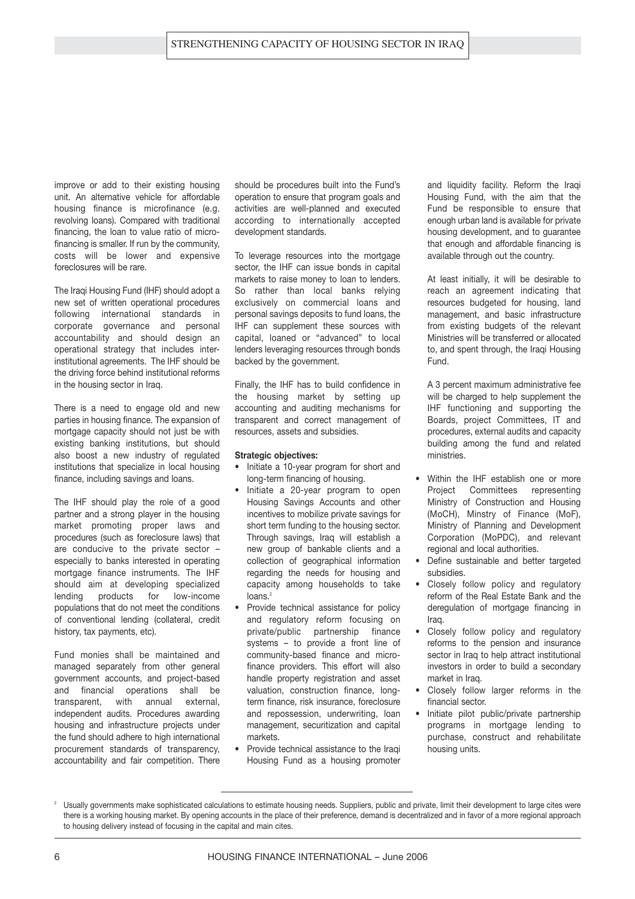improve or add to their existing housing unit. An alternative vehicle for affordable housing finance is microfinance (e.g. revolving loans). Compared with traditional financing, the loan to value ratio of microfinancing is smaller. If run by the community, costs will be lower and expensive foreclosures will be rare.

The Iraqi Housing Fund (IHF) should adopt a new set of written operational procedures following international standards in corporate governance and personal accountability and should design an operational strategy that includes interinstitutional agreements. The IHF should be the driving force behind institutional reforms in the housing sector in Iraq.

There is a need to engage old and new parties in housing finance. The expansion of mortgage capacity should not just be with existing banking institutions, but should also boost a new industry of regulated institutions that specialize in local housing finance, including savings and loans.

The IHF should play the role of a good partner and a strong player in the housing market promoting proper laws and procedures (such as foreclosure laws) that are conducive to the private sector – especially to banks interested in operating mortgage finance instruments. The IHF should aim at developing specialized lending products for low-income populations that do not meet the conditions of conventional lending (collateral, credit history, tax payments, etc).

Fund monies shall be maintained and managed separately from other general government accounts, and project-based and financial operations shall be transparent, with annual external, independent audits. Procedures awarding housing and infrastructure projects under the fund should adhere to high international procurement standards of transparency, accountability and fair competition. There

should be procedures built into the Fund's operation to ensure that program goals and activities are well-planned and executed according to internationally accepted development standards.

To leverage resources into the mortgage sector, the IHF can issue bonds in capital markets to raise money to loan to lenders. So rather than local banks relying exclusively on commercial loans and personal savings deposits to fund loans, the IHF can supplement these sources with capital, loaned or "advanced" to local lenders leveraging resources through bonds backed by the government.

Finally, the IHF has to build confidence in the housing market by setting up accounting and auditing mechanisms for transparent and correct management of resources, assets and subsidies.

#### **Strategic objectives:**

- Initiate a 10-year program for short and long-term financing of housing.
- Initiate a 20-year program to open Housing Savings Accounts and other incentives to mobilize private savings for short term funding to the housing sector. Through savings, Iraq will establish a new group of bankable clients and a collection of geographical information regarding the needs for housing and capacity among households to take  $long<sup>2</sup>$
- Provide technical assistance for policy and regulatory reform focusing on private/public partnership finance systems – to provide a front line of community-based finance and microfinance providers. This effort will also handle property registration and asset valuation, construction finance, longterm finance, risk insurance, foreclosure and repossession, underwriting, loan management, securitization and capital markets.
- Provide technical assistance to the Iraqi Housing Fund as a housing promoter

and liquidity facility. Reform the Iraqi Housing Fund, with the aim that the Fund be responsible to ensure that enough urban land is available for private housing development, and to guarantee that enough and affordable financing is available through out the country.

At least initially, it will be desirable to reach an agreement indicating that resources budgeted for housing, land management, and basic infrastructure from existing budgets of the relevant Ministries will be transferred or allocated to, and spent through, the Iraqi Housing Fund.

A 3 percent maximum administrative fee will be charged to help supplement the IHF functioning and supporting the Boards, project Committees, IT and procedures, external audits and capacity building among the fund and related ministries.

- Within the IHF establish one or more Project Committees representing Ministry of Construction and Housing (MoCH), Minstry of Finance (MoF), Ministry of Planning and Development Corporation (MoPDC), and relevant regional and local authorities.
- Define sustainable and better targeted subsidies.
- Closely follow policy and regulatory reform of the Real Estate Bank and the deregulation of mortgage financing in Iraq.
- Closely follow policy and regulatory reforms to the pension and insurance sector in Iraq to help attract institutional investors in order to build a secondary market in Iraq.
- Closely follow larger reforms in the financial sector.
- Initiate pilot public/private partnership programs in mortgage lending to purchase, construct and rehabilitate housing units.

<sup>2</sup> Usually governments make sophisticated calculations to estimate housing needs. Suppliers, public and private, limit their development to large cites were there is a working housing market. By opening accounts in the place of their preference, demand is decentralized and in favor of a more regional approach to housing delivery instead of focusing in the capital and main cites.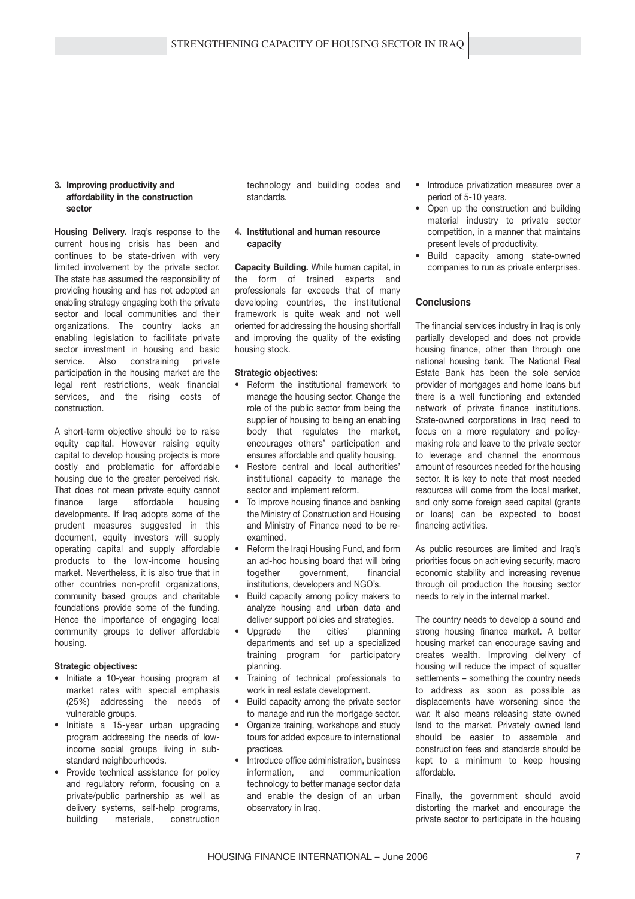#### **3. Improving productivity and affordability in the construction sector**

**Housing Delivery.** Iraq's response to the current housing crisis has been and continues to be state-driven with very limited involvement by the private sector. The state has assumed the responsibility of providing housing and has not adopted an enabling strategy engaging both the private sector and local communities and their organizations. The country lacks an enabling legislation to facilitate private sector investment in housing and basic service. Also constraining private participation in the housing market are the legal rent restrictions, weak financial services, and the rising costs of construction.

A short-term objective should be to raise equity capital. However raising equity capital to develop housing projects is more costly and problematic for affordable housing due to the greater perceived risk. That does not mean private equity cannot finance large affordable housing developments. If Iraq adopts some of the prudent measures suggested in this document, equity investors will supply operating capital and supply affordable products to the low-income housing market. Nevertheless, it is also true that in other countries non-profit organizations, community based groups and charitable foundations provide some of the funding. Hence the importance of engaging local community groups to deliver affordable housing.

#### **Strategic objectives:**

- Initiate a 10-year housing program at market rates with special emphasis (25%) addressing the needs of vulnerable groups.
- Initiate a 15-year urban upgrading program addressing the needs of lowincome social groups living in substandard neighbourhoods.
- Provide technical assistance for policy and regulatory reform, focusing on a private/public partnership as well as delivery systems, self-help programs, building materials, construction

technology and building codes and standards.

#### **4. Institutional and human resource capacity**

**Capacity Building.** While human capital, in the form of trained experts and professionals far exceeds that of many developing countries, the institutional framework is quite weak and not well oriented for addressing the housing shortfall and improving the quality of the existing housing stock.

#### **Strategic objectives:**

- Reform the institutional framework to manage the housing sector. Change the role of the public sector from being the supplier of housing to being an enabling body that regulates the market, encourages others' participation and ensures affordable and quality housing.
- Restore central and local authorities' institutional capacity to manage the sector and implement reform.
- To improve housing finance and banking the Ministry of Construction and Housing and Ministry of Finance need to be reexamined.
- Reform the Iraqi Housing Fund, and form an ad-hoc housing board that will bring together government, financial institutions, developers and NGO's.
- Build capacity among policy makers to analyze housing and urban data and deliver support policies and strategies.
- Upgrade the cities' planning departments and set up a specialized training program for participatory planning.
- Training of technical professionals to work in real estate development.
- Build capacity among the private sector to manage and run the mortgage sector.
- Organize training, workshops and study tours for added exposure to international practices.
- Introduce office administration, business information, and communication technology to better manage sector data and enable the design of an urban observatory in Iraq.
- Introduce privatization measures over a period of 5-10 years.
- Open up the construction and building material industry to private sector competition, in a manner that maintains present levels of productivity.
- Build capacity among state-owned companies to run as private enterprises.

#### **Conclusions**

The financial services industry in Iraq is only partially developed and does not provide housing finance, other than through one national housing bank. The National Real Estate Bank has been the sole service provider of mortgages and home loans but there is a well functioning and extended network of private finance institutions. State-owned corporations in Iraq need to focus on a more regulatory and policymaking role and leave to the private sector to leverage and channel the enormous amount of resources needed for the housing sector. It is key to note that most needed resources will come from the local market, and only some foreign seed capital (grants or loans) can be expected to boost financing activities.

As public resources are limited and Iraq's priorities focus on achieving security, macro economic stability and increasing revenue through oil production the housing sector needs to rely in the internal market.

The country needs to develop a sound and strong housing finance market. A better housing market can encourage saving and creates wealth. Improving delivery of housing will reduce the impact of squatter settlements – something the country needs to address as soon as possible as displacements have worsening since the war. It also means releasing state owned land to the market. Privately owned land should be easier to assemble and construction fees and standards should be kept to a minimum to keep housing affordable.

Finally, the government should avoid distorting the market and encourage the private sector to participate in the housing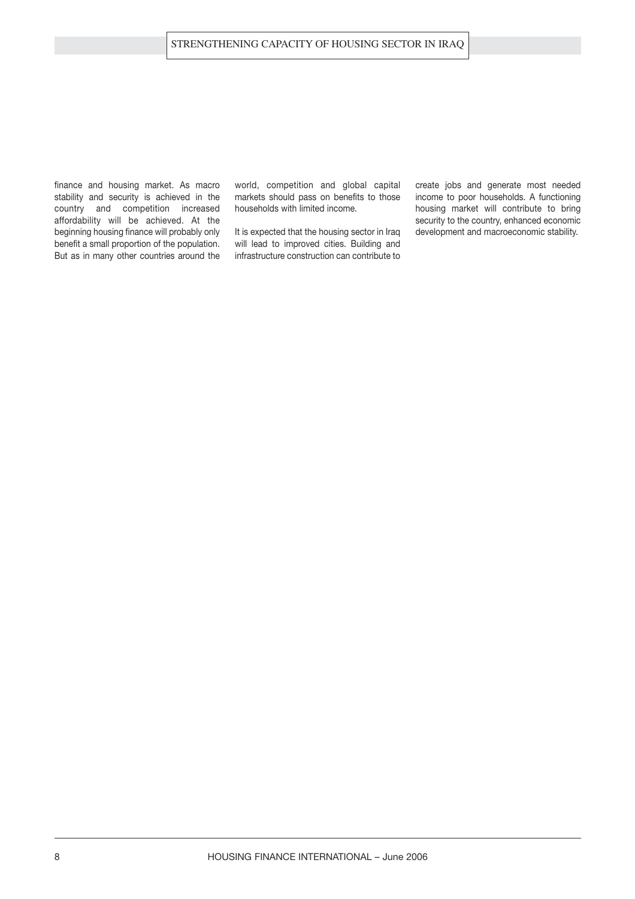finance and housing market. As macro stability and security is achieved in the country and competition increased affordability will be achieved. At the beginning housing finance will probably only benefit a small proportion of the population. But as in many other countries around the world, competition and global capital markets should pass on benefits to those households with limited income.

It is expected that the housing sector in Iraq will lead to improved cities. Building and infrastructure construction can contribute to create jobs and generate most needed income to poor households. A functioning housing market will contribute to bring security to the country, enhanced economic development and macroeconomic stability.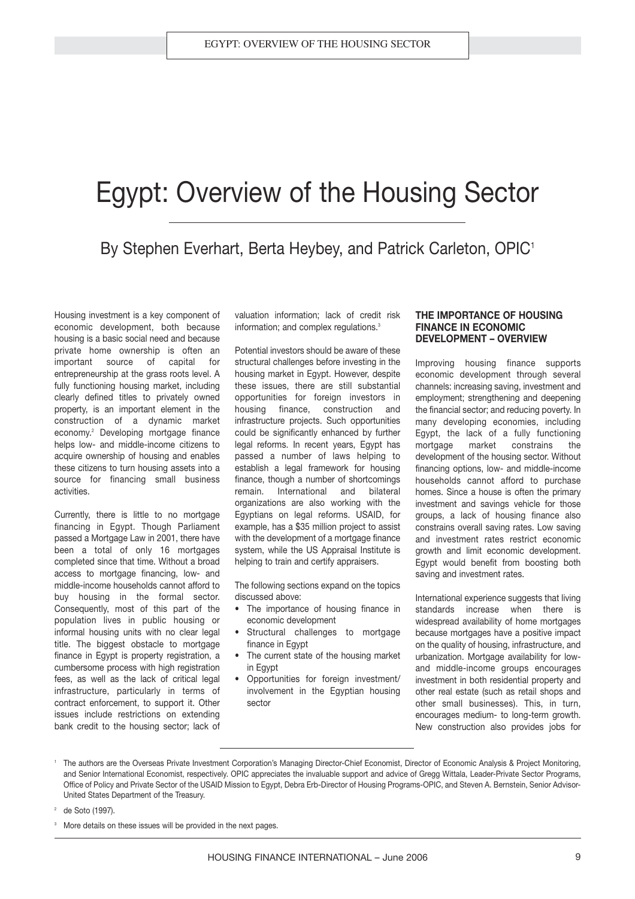## Egypt: Overview of the Housing Sector

### By Stephen Everhart, Berta Heybey, and Patrick Carleton, OPIC<sup>1</sup>

Housing investment is a key component of economic development, both because housing is a basic social need and because private home ownership is often an important source of capital for entrepreneurship at the grass roots level. A fully functioning housing market, including clearly defined titles to privately owned property, is an important element in the construction of a dynamic market economy.<sup>2</sup> Developing mortgage finance helps low- and middle-income citizens to acquire ownership of housing and enables these citizens to turn housing assets into a source for financing small business activities.

Currently, there is little to no mortgage financing in Egypt. Though Parliament passed a Mortgage Law in 2001, there have been a total of only 16 mortgages completed since that time. Without a broad access to mortgage financing, low- and middle-income households cannot afford to buy housing in the formal sector. Consequently, most of this part of the population lives in public housing or informal housing units with no clear legal title. The biggest obstacle to mortgage finance in Egypt is property registration, a cumbersome process with high registration fees, as well as the lack of critical legal infrastructure, particularly in terms of contract enforcement, to support it. Other issues include restrictions on extending bank credit to the housing sector; lack of

valuation information; lack of credit risk information; and complex regulations.<sup>3</sup>

Potential investors should be aware of these structural challenges before investing in the housing market in Egypt. However, despite these issues, there are still substantial opportunities for foreign investors in housing finance, construction and infrastructure projects. Such opportunities could be significantly enhanced by further legal reforms. In recent years, Egypt has passed a number of laws helping to establish a legal framework for housing finance, though a number of shortcomings remain. International and bilateral organizations are also working with the Egyptians on legal reforms. USAID, for example, has a \$35 million project to assist with the development of a mortgage finance system, while the US Appraisal Institute is helping to train and certify appraisers.

The following sections expand on the topics discussed above:

- The importance of housing finance in economic development
- Structural challenges to mortgage finance in Egypt
- The current state of the housing market in Egypt
- Opportunities for foreign investment/ involvement in the Egyptian housing sector

#### **THE IMPORTANCE OF HOUSING FINANCE IN ECONOMIC DEVELOPMENT – OVERVIEW**

Improving housing finance supports economic development through several channels: increasing saving, investment and employment; strengthening and deepening the financial sector; and reducing poverty. In many developing economies, including Egypt, the lack of a fully functioning mortgage market constrains the development of the housing sector. Without financing options, low- and middle-income households cannot afford to purchase homes. Since a house is often the primary investment and savings vehicle for those groups, a lack of housing finance also constrains overall saving rates. Low saving and investment rates restrict economic growth and limit economic development. Egypt would benefit from boosting both saving and investment rates.

International experience suggests that living standards increase when there is widespread availability of home mortgages because mortgages have a positive impact on the quality of housing, infrastructure, and urbanization. Mortgage availability for lowand middle-income groups encourages investment in both residential property and other real estate (such as retail shops and other small businesses). This, in turn, encourages medium- to long-term growth. New construction also provides jobs for

de Soto (1997).

<sup>1</sup> The authors are the Overseas Private Investment Corporation's Managing Director-Chief Economist, Director of Economic Analysis & Project Monitoring, and Senior International Economist, respectively. OPIC appreciates the invaluable support and advice of Gregg Wittala, Leader-Private Sector Programs, Office of Policy and Private Sector of the USAID Mission to Egypt, Debra Erb-Director of Housing Programs-OPIC, and Steven A. Bernstein, Senior Advisor-United States Department of the Treasury.

More details on these issues will be provided in the next pages.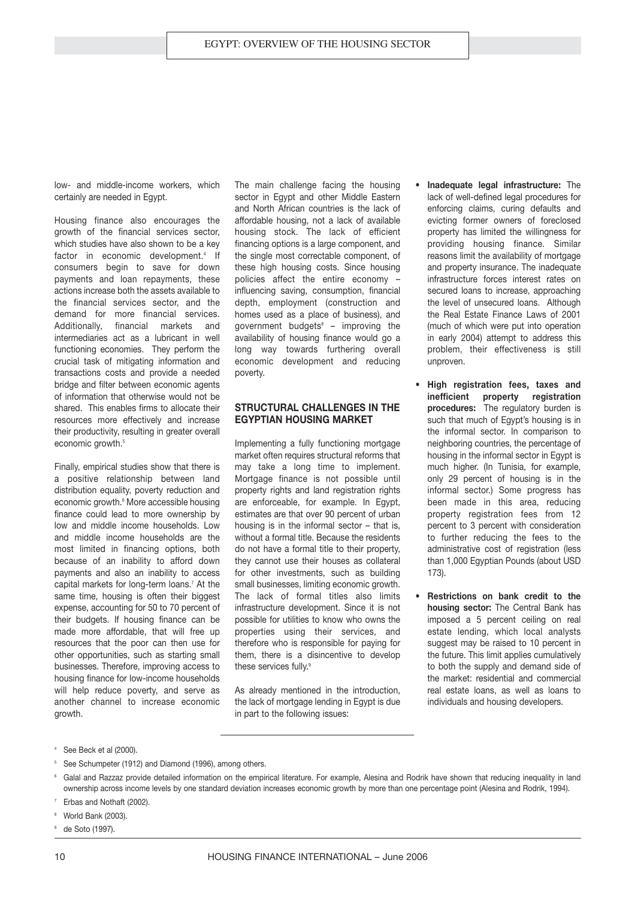low- and middle-income workers, which certainly are needed in Egypt.

Housing finance also encourages the growth of the financial services sector, which studies have also shown to be a key factor in economic development.<sup>4</sup> If consumers begin to save for down payments and loan repayments, these actions increase both the assets available to the financial services sector, and the demand for more financial services. Additionally, financial markets and intermediaries act as a lubricant in well functioning economies. They perform the crucial task of mitigating information and transactions costs and provide a needed bridge and filter between economic agents of information that otherwise would not be shared. This enables firms to allocate their resources more effectively and increase their productivity, resulting in greater overall economic growth.<sup>5</sup>

Finally, empirical studies show that there is a positive relationship between land distribution equality, poverty reduction and economic growth.<sup>6</sup> More accessible housing finance could lead to more ownership by low and middle income households. Low and middle income households are the most limited in financing options, both because of an inability to afford down payments and also an inability to access capital markets for long-term loans.<sup>7</sup> At the same time, housing is often their biggest expense, accounting for 50 to 70 percent of their budgets. If housing finance can be made more affordable, that will free up resources that the poor can then use for other opportunities, such as starting small businesses. Therefore, improving access to housing finance for low-income households will help reduce poverty, and serve as another channel to increase economic growth.

The main challenge facing the housing sector in Egypt and other Middle Eastern and North African countries is the lack of affordable housing, not a lack of available housing stock. The lack of efficient financing options is a large component, and the single most correctable component, of these high housing costs. Since housing policies affect the entire economy – influencing saving, consumption, financial depth, employment (construction and homes used as a place of business), and government budgets $8 -$  improving the availability of housing finance would go a long way towards furthering overall economic development and reducing poverty.

#### **STRUCTURAL CHALLENGES IN THE EGYPTIAN HOUSING MARKET**

Implementing a fully functioning mortgage market often requires structural reforms that may take a long time to implement. Mortgage finance is not possible until property rights and land registration rights are enforceable, for example. In Egypt, estimates are that over 90 percent of urban housing is in the informal sector – that is, without a formal title. Because the residents do not have a formal title to their property, they cannot use their houses as collateral for other investments, such as building small businesses, limiting economic growth. The lack of formal titles also limits infrastructure development. Since it is not possible for utilities to know who owns the properties using their services, and therefore who is responsible for paying for them, there is a disincentive to develop these services fully.<sup>9</sup>

As already mentioned in the introduction, the lack of mortgage lending in Egypt is due in part to the following issues:

- **Inadequate legal infrastructure:** The lack of well-defined legal procedures for enforcing claims, curing defaults and evicting former owners of foreclosed property has limited the willingness for providing housing finance. Similar reasons limit the availability of mortgage and property insurance. The inadequate infrastructure forces interest rates on secured loans to increase, approaching the level of unsecured loans. Although the Real Estate Finance Laws of 2001 (much of which were put into operation in early 2004) attempt to address this problem, their effectiveness is still unproven.
- **High registration fees, taxes and** inefficient property **procedures:** The regulatory burden is such that much of Egypt's housing is in the informal sector. In comparison to neighboring countries, the percentage of housing in the informal sector in Egypt is much higher. (In Tunisia, for example, only 29 percent of housing is in the informal sector.) Some progress has been made in this area, reducing property registration fees from 12 percent to 3 percent with consideration to further reducing the fees to the administrative cost of registration (less than 1,000 Egyptian Pounds (about USD 173).
- **Restrictions on bank credit to the housing sector:** The Central Bank has imposed a 5 percent ceiling on real estate lending, which local analysts suggest may be raised to 10 percent in the future. This limit applies cumulatively to both the supply and demand side of the market: residential and commercial real estate loans, as well as loans to individuals and housing developers.

- <sup>5</sup> See Schumpeter (1912) and Diamond (1996), among others.
- <sup>6</sup> Galal and Razzaz provide detailed information on the empirical literature. For example, Alesina and Rodrik have shown that reducing inequality in land ownership across income levels by one standard deviation increases economic growth by more than one percentage point (Alesina and Rodrik, 1994).
- Erbas and Nothaft (2002).
- World Bank (2003).
- de Soto (1997).

<sup>4</sup> See Beck et al (2000).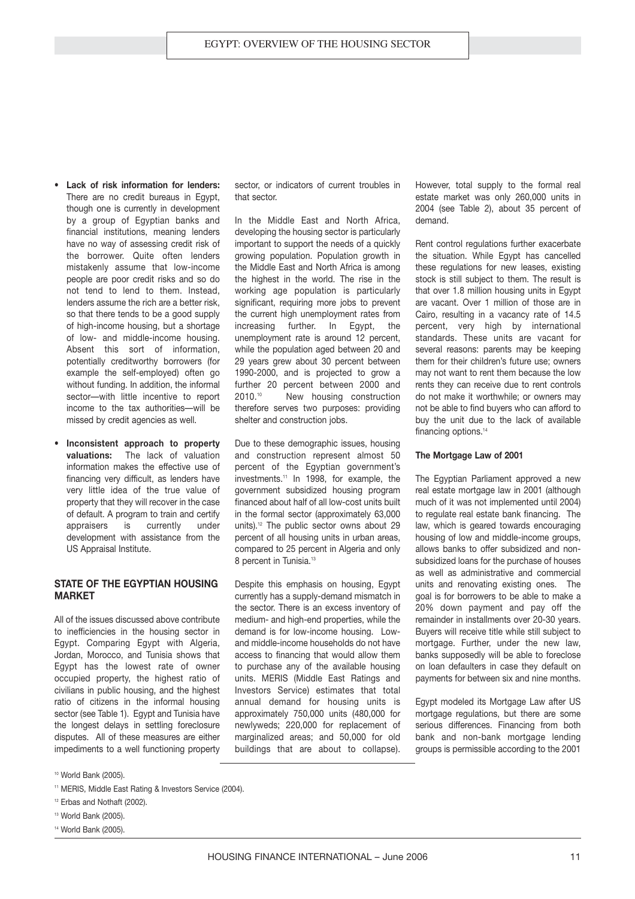- **Lack of risk information for lenders:** There are no credit bureaus in Egypt, though one is currently in development by a group of Egyptian banks and financial institutions, meaning lenders have no way of assessing credit risk of the borrower. Quite often lenders mistakenly assume that low-income people are poor credit risks and so do not tend to lend to them. Instead, lenders assume the rich are a better risk, so that there tends to be a good supply of high-income housing, but a shortage of low- and middle-income housing. Absent this sort of information, potentially creditworthy borrowers (for example the self-employed) often go without funding. In addition, the informal sector—with little incentive to report income to the tax authorities—will be missed by credit agencies as well.
- **Inconsistent approach to property valuations:** The lack of valuation information makes the effective use of financing very difficult, as lenders have very little idea of the true value of property that they will recover in the case of default. A program to train and certify appraisers is currently under development with assistance from the US Appraisal Institute.

#### **STATE OF THE EGYPTIAN HOUSING MARKET**

All of the issues discussed above contribute to inefficiencies in the housing sector in Egypt. Comparing Egypt with Algeria, Jordan, Morocco, and Tunisia shows that Egypt has the lowest rate of owner occupied property, the highest ratio of civilians in public housing, and the highest ratio of citizens in the informal housing sector (see Table 1). Egypt and Tunisia have the longest delays in settling foreclosure disputes. All of these measures are either impediments to a well functioning property

sector, or indicators of current troubles in that sector.

In the Middle East and North Africa, developing the housing sector is particularly important to support the needs of a quickly growing population. Population growth in the Middle East and North Africa is among the highest in the world. The rise in the working age population is particularly significant, requiring more jobs to prevent the current high unemployment rates from increasing further. In Egypt, the unemployment rate is around 12 percent, while the population aged between 20 and 29 years grew about 30 percent between 1990-2000, and is projected to grow a further 20 percent between 2000 and 2010.<sup>10</sup> New housing construction therefore serves two purposes: providing shelter and construction jobs.

Due to these demographic issues, housing and construction represent almost 50 percent of the Egyptian government's investments.<sup>11</sup> In 1998, for example, the government subsidized housing program financed about half of all low-cost units built in the formal sector (approximately 63,000 units).<sup>12</sup> The public sector owns about 29 percent of all housing units in urban areas, compared to 25 percent in Algeria and only 8 percent in Tunisia.<sup>13</sup>

Despite this emphasis on housing, Egypt currently has a supply-demand mismatch in the sector. There is an excess inventory of medium- and high-end properties, while the demand is for low-income housing. Lowand middle-income households do not have access to financing that would allow them to purchase any of the available housing units. MERIS (Middle East Ratings and Investors Service) estimates that total annual demand for housing units is approximately 750,000 units (480,000 for newlyweds; 220,000 for replacement of marginalized areas; and 50,000 for old buildings that are about to collapse).

However, total supply to the formal real estate market was only 260,000 units in 2004 (see Table 2), about 35 percent of demand.

Rent control regulations further exacerbate the situation. While Egypt has cancelled these regulations for new leases, existing stock is still subject to them. The result is that over 1.8 million housing units in Egypt are vacant. Over 1 million of those are in Cairo, resulting in a vacancy rate of 14.5 percent, very high by international standards. These units are vacant for several reasons: parents may be keeping them for their children's future use; owners may not want to rent them because the low rents they can receive due to rent controls do not make it worthwhile; or owners may not be able to find buyers who can afford to buy the unit due to the lack of available financing options.<sup>14</sup>

#### **The Mortgage Law of 2001**

The Egyptian Parliament approved a new real estate mortgage law in 2001 (although much of it was not implemented until 2004) to regulate real estate bank financing. The law, which is geared towards encouraging housing of low and middle-income groups, allows banks to offer subsidized and nonsubsidized loans for the purchase of houses as well as administrative and commercial units and renovating existing ones. The goal is for borrowers to be able to make a 20% down payment and pay off the remainder in installments over 20-30 years. Buyers will receive title while still subject to mortgage. Further, under the new law, banks supposedly will be able to foreclose on loan defaulters in case they default on payments for between six and nine months.

Egypt modeled its Mortgage Law after US mortgage regulations, but there are some serious differences. Financing from both bank and non-bank mortgage lending groups is permissible according to the 2001

<sup>10</sup> World Bank (2005).

- <sup>12</sup> Erbas and Nothaft (2002).
- <sup>13</sup> World Bank (2005).
- <sup>14</sup> World Bank (2005).

<sup>&</sup>lt;sup>11</sup> MERIS, Middle East Rating & Investors Service (2004).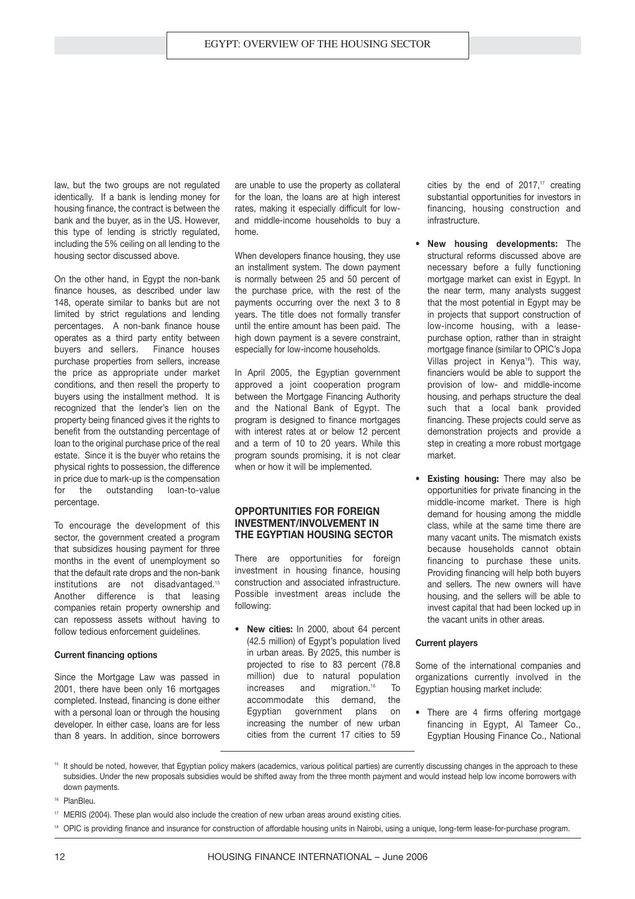law, but the two groups are not regulated identically. If a bank is lending money for housing finance, the contract is between the bank and the buyer, as in the US. However, this type of lending is strictly regulated, including the 5% ceiling on all lending to the housing sector discussed above.

On the other hand, in Egypt the non-bank finance houses, as described under law 148, operate similar to banks but are not limited by strict regulations and lending percentages. A non-bank finance house operates as a third party entity between buyers and sellers. Finance houses purchase properties from sellers, increase the price as appropriate under market conditions, and then resell the property to buyers using the installment method. It is recognized that the lender's lien on the property being financed gives it the rights to benefit from the outstanding percentage of loan to the original purchase price of the real estate. Since it is the buyer who retains the physical rights to possession, the difference in price due to mark-up is the compensation for the outstanding loan-to-value percentage.

To encourage the development of this sector, the government created a program that subsidizes housing payment for three months in the event of unemployment so that the default rate drops and the non-bank institutions are not disadvantaged.<sup>15</sup> Another difference is that leasing companies retain property ownership and can repossess assets without having to follow tedious enforcement guidelines.

#### **Current financing options**

Since the Mortgage Law was passed in 2001, there have been only 16 mortgages completed. Instead, financing is done either with a personal loan or through the housing developer. In either case, loans are for less than 8 years. In addition, since borrowers

are unable to use the property as collateral for the loan, the loans are at high interest rates, making it especially difficult for lowand middle-income households to buy a home.

When developers finance housing, they use an installment system. The down payment is normally between 25 and 50 percent of the purchase price, with the rest of the payments occurring over the next 3 to 8 years. The title does not formally transfer until the entire amount has been paid. The high down payment is a severe constraint, especially for low-income households.

In April 2005, the Egyptian government approved a joint cooperation program between the Mortgage Financing Authority and the National Bank of Egypt. The program is designed to finance mortgages with interest rates at or below 12 percent and a term of 10 to 20 years. While this program sounds promising, it is not clear when or how it will be implemented.

#### **OPPORTUNITIES FOR FOREIGN INVESTMENT/INVOLVEMENT IN THE EGYPTIAN HOUSING SECTOR**

There are opportunities for foreign investment in housing finance, housing construction and associated infrastructure. Possible investment areas include the following:

• **New cities:** In 2000, about 64 percent (42.5 million) of Egypt's population lived in urban areas. By 2025, this number is projected to rise to 83 percent (78.8 million) due to natural population increases and migration.<sup>16</sup> To accommodate this demand, the Egyptian government plans on increasing the number of new urban cities from the current 17 cities to 59

cities by the end of  $2017$ ,<sup>17</sup> creating substantial opportunities for investors in financing, housing construction and infrastructure.

- **New housing developments:** The structural reforms discussed above are necessary before a fully functioning mortgage market can exist in Egypt. In the near term, many analysts suggest that the most potential in Egypt may be in projects that support construction of low-income housing, with a leasepurchase option, rather than in straight mortgage finance (similar to OPIC's Jopa Villas project in Kenya<sup>18</sup>). This way, financiers would be able to support the provision of low- and middle-income housing, and perhaps structure the deal such that a local bank provided financing. These projects could serve as demonstration projects and provide a step in creating a more robust mortgage market.
- **Existing housing:** There may also be opportunities for private financing in the middle-income market. There is high demand for housing among the middle class, while at the same time there are many vacant units. The mismatch exists because households cannot obtain financing to purchase these units. Providing financing will help both buyers and sellers. The new owners will have housing, and the sellers will be able to invest capital that had been locked up in the vacant units in other areas.

#### **Current players**

Some of the international companies and organizations currently involved in the Egyptian housing market include:

- There are 4 firms offering mortgage financing in Egypt, Al Tameer Co., Egyptian Housing Finance Co., National
- <sup>15</sup> It should be noted, however, that Egyptian policy makers (academics, various political parties) are currently discussing changes in the approach to these subsidies. Under the new proposals subsidies would be shifted away from the three month payment and would instead help low income borrowers with down payments.
- <sup>16</sup> PlanBleu.
- $17$  MERIS (2004). These plan would also include the creation of new urban areas around existing cities.
- 18 OPIC is providing finance and insurance for construction of affordable housing units in Nairobi, using a unique, long-term lease-for-purchase program.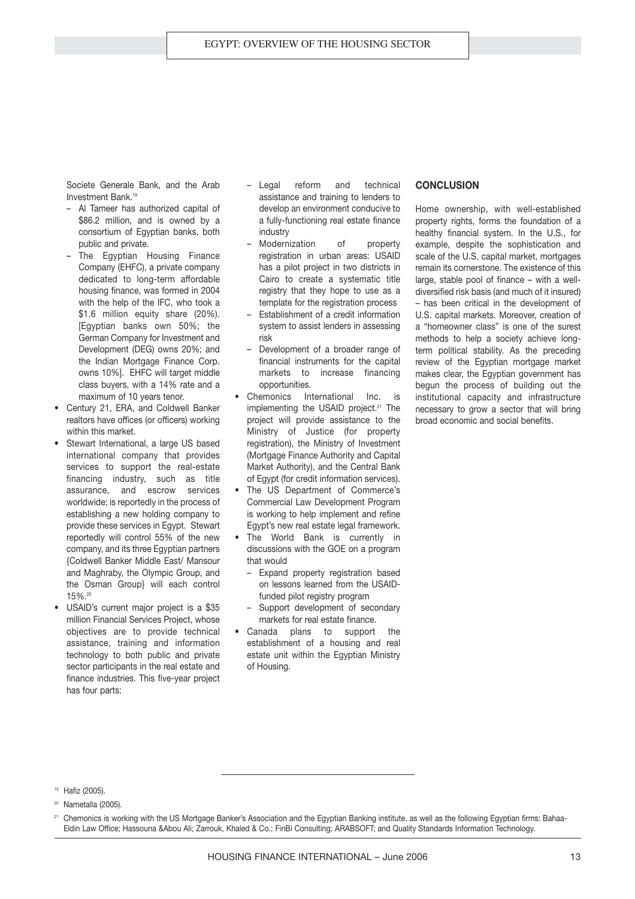Societe Generale Bank, and the Arab Investment Bank.<sup>19</sup>

- Al Tameer has authorized capital of \$86.2 million, and is owned by a consortium of Egyptian banks, both public and private.
- The Egyptian Housing Finance Company (EHFC), a private company dedicated to long-term affordable housing finance, was formed in 2004 with the help of the IFC, who took a \$1.6 million equity share (20%). [Egyptian banks own 50%; the German Company for Investment and Development (DEG) owns 20%; and the Indian Mortgage Finance Corp. owns 10%]. EHFC will target middle class buyers, with a 14% rate and a maximum of 10 years tenor.
- Century 21, ERA, and Coldwell Banker realtors have offices (or officers) working within this market.
- Stewart International, a large US based international company that provides services to support the real-estate financing industry, such as title assurance, and escrow services worldwide; is reportedly in the process of establishing a new holding company to provide these services in Egypt. Stewart reportedly will control 55% of the new company, and its three Egyptian partners {Coldwell Banker Middle East/ Mansour and Maghraby, the Olympic Group, and the Osman Group} will each control 15%.<sup>20</sup>
- USAID's current major project is a \$35 million Financial Services Project, whose objectives are to provide technical assistance, training and information technology to both public and private sector participants in the real estate and finance industries. This five-year project has four parts:
- Legal reform and technical assistance and training to lenders to develop an environment conducive to a fully-functioning real estate finance industry
- Modernization of property registration in urban areas: USAID has a pilot project in two districts in Cairo to create a systematic title registry that they hope to use as a template for the registration process
- Establishment of a credit information system to assist lenders in assessing risk
- Development of a broader range of financial instruments for the capital markets to increase financing opportunities.
- Chemonics International Inc. is implementing the USAID project.<sup>21</sup> The project will provide assistance to the Ministry of Justice (for property registration), the Ministry of Investment (Mortgage Finance Authority and Capital Market Authority), and the Central Bank of Egypt (for credit information services).
- The US Department of Commerce's Commercial Law Development Program is working to help implement and refine Egypt's new real estate legal framework.
- The World Bank is currently in discussions with the GOE on a program that would
	- Expand property registration based on lessons learned from the USAIDfunded pilot registry program
	- Support development of secondary markets for real estate finance.
- Canada plans to support the establishment of a housing and real estate unit within the Egyptian Ministry of Housing.

#### **CONCLUSION**

Home ownership, with well-established property rights, forms the foundation of a healthy financial system. In the U.S., for example, despite the sophistication and scale of the U.S. capital market, mortgages remain its cornerstone. The existence of this large, stable pool of finance – with a welldiversified risk basis (and much of it insured) – has been critical in the development of U.S. capital markets. Moreover, creation of a "homeowner class" is one of the surest methods to help a society achieve longterm political stability. As the preceding review of the Egyptian mortgage market makes clear, the Egyptian government has begun the process of building out the institutional capacity and infrastructure necessary to grow a sector that will bring broad economic and social benefits.

<sup>19</sup> Hafiz (2005).

<sup>&</sup>lt;sup>20</sup> Nametalla (2005).

<sup>&</sup>lt;sup>21</sup> Chemonics is working with the US Mortgage Banker's Association and the Egyptian Banking institute, as well as the following Egyptian firms: Bahaa-Eldin Law Office; Hassouna &Abou Ali; Zarrouk, Khaled & Co.; FinBi Consulting; ARABSOFT; and Quality Standards Information Technology.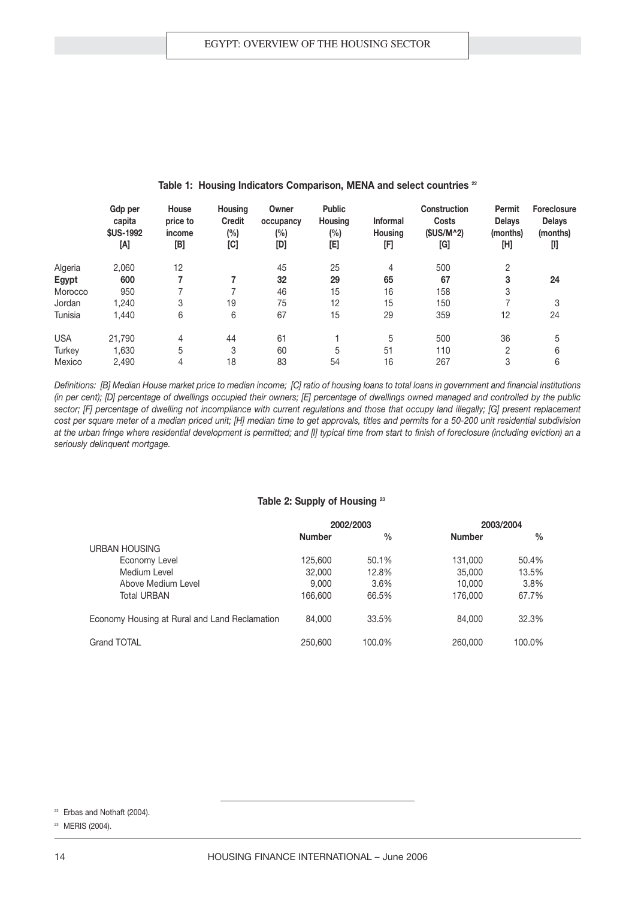|            | Gdp per<br>capita<br><b>\$US-1992</b><br>[A] | House<br>price to<br>income<br>[B] | <b>Housing</b><br><b>Credit</b><br>$(\%)$<br>[C] | Owner<br>occupancy<br>(%)<br>[D] | <b>Public</b><br><b>Housing</b><br>$(\%)$<br>[E] | <b>Informal</b><br><b>Housing</b><br>[F] | <b>Construction</b><br><b>Costs</b><br>$(SUS/M^2)$<br>[G] | Permit<br><b>Delays</b><br>(months)<br>[H] | <b>Foreclosure</b><br><b>Delays</b><br>(months)<br>$[] \centering \includegraphics[width=0.47\textwidth]{figs/fig_1002-100}} \caption{The 1000 of the 1000 of the 1000 of the 1000 of the 1000 of the 1000 of the 1000 of the 1000 of the 1000 of the 1000 of the 1000 of the 1000 of the 1000 of the 1000 of the 1000 of the 1000 of the 1000 of the 1000 of the 1000 of the 1000 of the 1000 of the 1000 of the 1000 of the 1000 of the 1000 of the 1000 of the 1$ |
|------------|----------------------------------------------|------------------------------------|--------------------------------------------------|----------------------------------|--------------------------------------------------|------------------------------------------|-----------------------------------------------------------|--------------------------------------------|----------------------------------------------------------------------------------------------------------------------------------------------------------------------------------------------------------------------------------------------------------------------------------------------------------------------------------------------------------------------------------------------------------------------------------------------------------------------|
| Algeria    | 2,060                                        | 12                                 |                                                  | 45                               | 25                                               | 4                                        | 500                                                       | 2                                          |                                                                                                                                                                                                                                                                                                                                                                                                                                                                      |
| Egypt      | 600                                          |                                    |                                                  | 32                               | 29                                               | 65                                       | 67                                                        | 3                                          | 24                                                                                                                                                                                                                                                                                                                                                                                                                                                                   |
| Morocco    | 950                                          |                                    |                                                  | 46                               | 15                                               | 16                                       | 158                                                       | 3                                          |                                                                                                                                                                                                                                                                                                                                                                                                                                                                      |
| Jordan     | 1.240                                        | 3                                  | 19                                               | 75                               | 12                                               | 15                                       | 150                                                       |                                            | 3                                                                                                                                                                                                                                                                                                                                                                                                                                                                    |
| Tunisia    | 1,440                                        | 6                                  | 6                                                | 67                               | 15                                               | 29                                       | 359                                                       | 12                                         | 24                                                                                                                                                                                                                                                                                                                                                                                                                                                                   |
| <b>USA</b> | 21.790                                       | 4                                  | 44                                               | 61                               |                                                  | 5                                        | 500                                                       | 36                                         | 5                                                                                                                                                                                                                                                                                                                                                                                                                                                                    |
| Turkey     | 1.630                                        | 5                                  | 3                                                | 60                               | 5                                                | 51                                       | 110                                                       | $\mathcal{P}$                              | 6                                                                                                                                                                                                                                                                                                                                                                                                                                                                    |
| Mexico     | 2.490                                        | 4                                  | 18                                               | 83                               | 54                                               | 16                                       | 267                                                       | 3                                          | 6                                                                                                                                                                                                                                                                                                                                                                                                                                                                    |

#### **Table 1: Housing Indicators Comparison, MENA and select countries <sup>22</sup>**

*Definitions: [B] Median House market price to median income; [C] ratio of housing loans to total loans in government and financial institutions (in per cent); [D] percentage of dwellings occupied their owners; [E] percentage of dwellings owned managed and controlled by the public sector; [F] percentage of dwelling not incompliance with current regulations and those that occupy land illegally; [G] present replacement cost per square meter of a median priced unit; [H] median time to get approvals, titles and permits for a 50-200 unit residential subdivision at the urban fringe where residential development is permitted; and [I] typical time from start to finish of foreclosure (including eviction) an a seriously delinquent mortgage.* 

#### **Table 2: Supply of Housing <sup>23</sup>**

|                                               | 2002/2003     |               |               | 2003/2004     |
|-----------------------------------------------|---------------|---------------|---------------|---------------|
|                                               | <b>Number</b> | $\frac{0}{0}$ | <b>Number</b> | $\frac{0}{0}$ |
| <b>URBAN HOUSING</b>                          |               |               |               |               |
| Economy Level                                 | 125,600       | 50.1%         | 131,000       | 50.4%         |
| Medium Level                                  | 32,000        | 12.8%         | 35,000        | 13.5%         |
| Above Medium Level                            | 9.000         | 3.6%          | 10.000        | 3.8%          |
| Total URBAN                                   | 166,600       | 66.5%         | 176,000       | 67.7%         |
| Economy Housing at Rural and Land Reclamation | 84.000        | 33.5%         | 84,000        | 32.3%         |
| Grand TOTAL                                   | 250,600       | 100.0%        | 260,000       | 100.0%        |

 $22$  Erbas and Nothaft (2004).

<sup>&</sup>lt;sup>23</sup> MERIS (2004).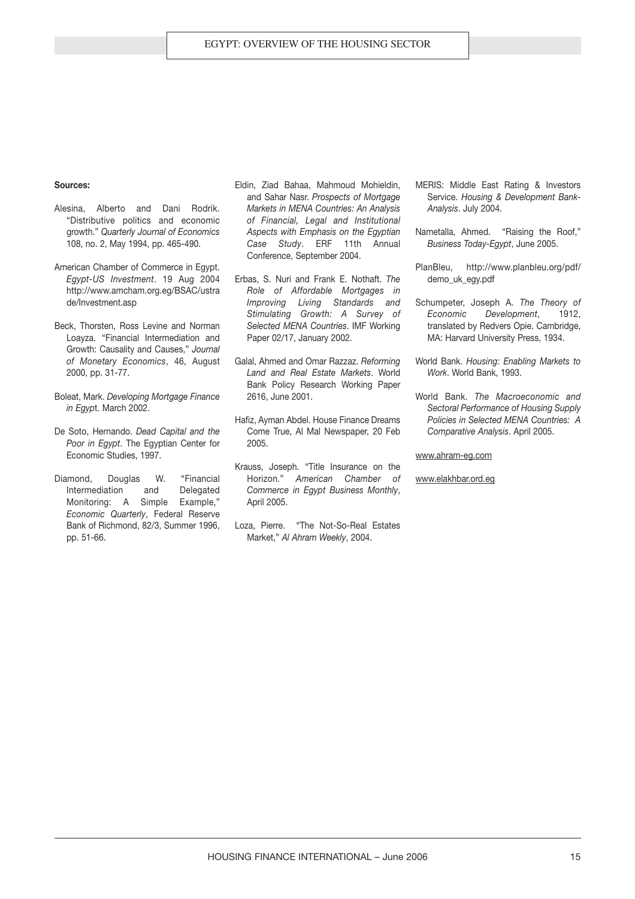#### **Sources:**

- Alesina, Alberto and Dani Rodrik. "Distributive politics and economic growth." *Quarterly Journal of Economics* 108, no. 2, May 1994, pp. 465-490.
- American Chamber of Commerce in Egypt. *Egypt-US Investment*. 19 Aug 2004 http://www.amcham.org.eg/BSAC/ustra de/Investment.asp
- Beck, Thorsten, Ross Levine and Norman Loayza. "Financial Intermediation and Growth: Causality and Causes," *Journal of Monetary Economics*, 46, August 2000, pp. 31-77.
- Boleat, Mark. *Developing Mortgage Finance in Egyp*t. March 2002.
- De Soto, Hernando. *Dead Capital and the Poor in Egypt*. The Egyptian Center for Economic Studies, 1997.
- Diamond, Douglas W. "Financial Intermediation and Delegated Monitoring: A Simple Example," *Economic Quarterly*, Federal Reserve Bank of Richmond, 82/3, Summer 1996, pp. 51-66.
- Eldin, Ziad Bahaa, Mahmoud Mohieldin, and Sahar Nasr. *Prospects of Mortgage Markets in MENA Countries: An Analysis of Financial, Legal and Institutional Aspects with Emphasis on the Egyptian Case Study*. ERF 11th Annual Conference, September 2004.
- Erbas, S. Nuri and Frank E. Nothaft. *The Role of Affordable Mortgages in Improving Living Standards and Stimulating Growth: A Survey of Selected MENA Countries*. IMF Working Paper 02/17, January 2002.
- Galal, Ahmed and Omar Razzaz. *Reforming Land and Real Estate Markets*. World Bank Policy Research Working Paper 2616, June 2001.
- Hafiz, Ayman Abdel. House Finance Dreams Come True, Al Mal Newspaper, 20 Feb 2005.
- Krauss, Joseph. "Title Insurance on the Horizon." *American Chamber of Commerce in Egypt Business Monthly*, April 2005.
- Loza, Pierre. "The Not-So-Real Estates Market," *Al Ahram Weekly*, 2004.
- MERIS: Middle East Rating & Investors Service. *Housing & Development Bank-Analysis*. July 2004.
- Nametalla, Ahmed. "Raising the Roof," *Business Today-Egypt*, June 2005.
- PlanBleu, http://www.planbleu.org/pdf/ demo\_uk\_egy.pdf
- Schumpeter, Joseph A. *The Theory of Economic Development*, 1912, translated by Redvers Opie. Cambridge, MA: Harvard University Press, 1934.
- World Bank. *Housing: Enabling Markets to Work*. World Bank, 1993.
- World Bank. *The Macroeconomic and Sectoral Performance of Housing Supply Policies in Selected MENA Countries: A Comparative Analysis*. April 2005.

www.ahram-eg.com

www.elakhbar.ord.eg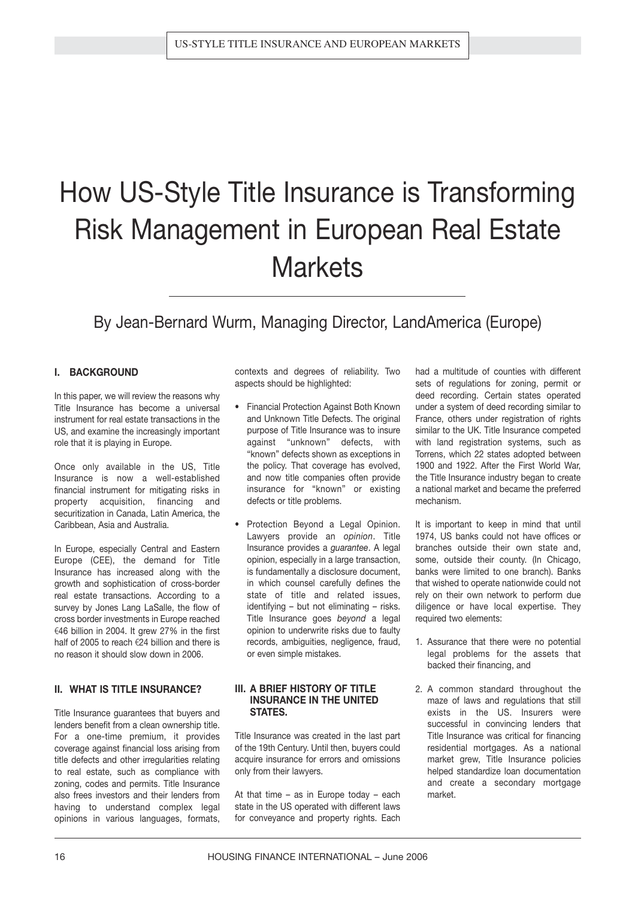# How US-Style Title Insurance is Transforming Risk Management in European Real Estate **Markets**

### By Jean-Bernard Wurm, Managing Director, LandAmerica (Europe)

#### **I. BACKGROUND**

In this paper, we will review the reasons why Title Insurance has become a universal instrument for real estate transactions in the US, and examine the increasingly important role that it is playing in Europe.

Once only available in the US, Title Insurance is now a well-established financial instrument for mitigating risks in property acquisition, financing and securitization in Canada, Latin America, the Caribbean, Asia and Australia.

In Europe, especially Central and Eastern Europe (CEE), the demand for Title Insurance has increased along with the growth and sophistication of cross-border real estate transactions. According to a survey by Jones Lang LaSalle, the flow of cross border investments in Europe reached €46 billion in 2004. It grew 27% in the first half of 2005 to reach  $\epsilon$ 24 billion and there is no reason it should slow down in 2006.

#### **II. WHAT IS TITLE INSURANCE?**

Title Insurance guarantees that buyers and lenders benefit from a clean ownership title. For a one-time premium, it provides coverage against financial loss arising from title defects and other irregularities relating to real estate, such as compliance with zoning, codes and permits. Title Insurance also frees investors and their lenders from having to understand complex legal opinions in various languages, formats, contexts and degrees of reliability. Two aspects should be highlighted:

- Financial Protection Against Both Known and Unknown Title Defects. The original purpose of Title Insurance was to insure against "unknown" defects, with "known" defects shown as exceptions in the policy. That coverage has evolved, and now title companies often provide insurance for "known" or existing defects or title problems.
- Protection Bevond a Legal Opinion. Lawyers provide an *opinion*. Title Insurance provides a *guarantee*. A legal opinion, especially in a large transaction, is fundamentally a disclosure document, in which counsel carefully defines the state of title and related issues, identifying – but not eliminating – risks. Title Insurance goes *beyond* a legal opinion to underwrite risks due to faulty records, ambiguities, negligence, fraud, or even simple mistakes.

#### **III. A BRIEF HISTORY OF TITLE INSURANCE IN THE UNITED STATES.**

Title Insurance was created in the last part of the 19th Century. Until then, buyers could acquire insurance for errors and omissions only from their lawyers.

At that time – as in Europe today – each state in the US operated with different laws for conveyance and property rights. Each had a multitude of counties with different sets of regulations for zoning, permit or deed recording. Certain states operated under a system of deed recording similar to France, others under registration of rights similar to the UK. Title Insurance competed with land registration systems, such as Torrens, which 22 states adopted between 1900 and 1922. After the First World War, the Title Insurance industry began to create a national market and became the preferred mechanism.

It is important to keep in mind that until 1974, US banks could not have offices or branches outside their own state and, some, outside their county. (In Chicago, banks were limited to one branch). Banks that wished to operate nationwide could not rely on their own network to perform due diligence or have local expertise. They required two elements:

- 1. Assurance that there were no potential legal problems for the assets that backed their financing, and
- 2. A common standard throughout the maze of laws and regulations that still exists in the US. Insurers were successful in convincing lenders that Title Insurance was critical for financing residential mortgages. As a national market grew, Title Insurance policies helped standardize loan documentation and create a secondary mortgage market.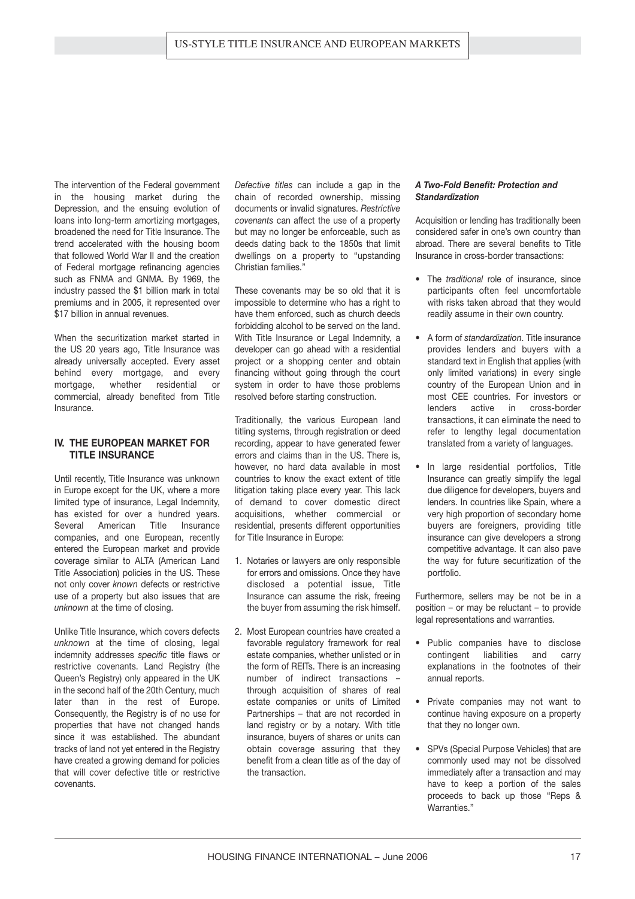The intervention of the Federal government in the housing market during the Depression, and the ensuing evolution of loans into long-term amortizing mortgages, broadened the need for Title Insurance. The trend accelerated with the housing boom that followed World War II and the creation of Federal mortgage refinancing agencies such as FNMA and GNMA. By 1969, the industry passed the \$1 billion mark in total premiums and in 2005, it represented over \$17 billion in annual revenues.

When the securitization market started in the US 20 years ago, Title Insurance was already universally accepted. Every asset behind every mortgage, and every mortgage, whether residential or commercial, already benefited from Title Insurance.

#### **IV. THE EUROPEAN MARKET FOR TITLE INSURANCE**

Until recently, Title Insurance was unknown in Europe except for the UK, where a more limited type of insurance, Legal Indemnity, has existed for over a hundred years. Several American Title Insurance companies, and one European, recently entered the European market and provide coverage similar to ALTA (American Land Title Association) policies in the US. These not only cover *known* defects or restrictive use of a property but also issues that are *unknown* at the time of closing.

Unlike Title Insurance, which covers defects *unknown* at the time of closing, legal indemnity addresses *specific* title flaws or restrictive covenants. Land Registry (the Queen's Registry) only appeared in the UK in the second half of the 20th Century, much later than in the rest of Europe. Consequently, the Registry is of no use for properties that have not changed hands since it was established. The abundant tracks of land not yet entered in the Registry have created a growing demand for policies that will cover defective title or restrictive covenants.

*Defective titles* can include a gap in the chain of recorded ownership, missing documents or invalid signatures. *Restrictive covenants* can affect the use of a property but may no longer be enforceable, such as deeds dating back to the 1850s that limit dwellings on a property to "upstanding Christian families."

These covenants may be so old that it is impossible to determine who has a right to have them enforced, such as church deeds forbidding alcohol to be served on the land. With Title Insurance or Legal Indemnity, a developer can go ahead with a residential project or a shopping center and obtain financing without going through the court system in order to have those problems resolved before starting construction.

Traditionally, the various European land titling systems, through registration or deed recording, appear to have generated fewer errors and claims than in the US. There is, however, no hard data available in most countries to know the exact extent of title litigation taking place every year. This lack of demand to cover domestic direct acquisitions, whether commercial or residential, presents different opportunities for Title Insurance in Europe:

- 1. Notaries or lawyers are only responsible for errors and omissions. Once they have disclosed a potential issue, Title Insurance can assume the risk, freeing the buyer from assuming the risk himself.
- 2. Most European countries have created a favorable regulatory framework for real estate companies, whether unlisted or in the form of REITs. There is an increasing number of indirect transactions – through acquisition of shares of real estate companies or units of Limited Partnerships – that are not recorded in land registry or by a notary. With title insurance, buyers of shares or units can obtain coverage assuring that they benefit from a clean title as of the day of the transaction.

#### *A Two-Fold Benefit: Protection and Standardization*

Acquisition or lending has traditionally been considered safer in one's own country than abroad. There are several benefits to Title Insurance in cross-border transactions:

- The *traditional* role of insurance, since participants often feel uncomfortable with risks taken abroad that they would readily assume in their own country.
- A form of *standardization*. Title insurance provides lenders and buyers with a standard text in English that applies (with only limited variations) in every single country of the European Union and in most CEE countries. For investors or lenders active in cross-border transactions, it can eliminate the need to refer to lengthy legal documentation translated from a variety of languages.
- In large residential portfolios, Title Insurance can greatly simplify the legal due diligence for developers, buyers and lenders. In countries like Spain, where a very high proportion of secondary home buyers are foreigners, providing title insurance can give developers a strong competitive advantage. It can also pave the way for future securitization of the portfolio.

Furthermore, sellers may be not be in a position – or may be reluctant – to provide legal representations and warranties.

- Public companies have to disclose contingent liabilities and carry explanations in the footnotes of their annual reports.
- Private companies may not want to continue having exposure on a property that they no longer own.
- SPVs (Special Purpose Vehicles) that are commonly used may not be dissolved immediately after a transaction and may have to keep a portion of the sales proceeds to back up those "Reps & Warranties."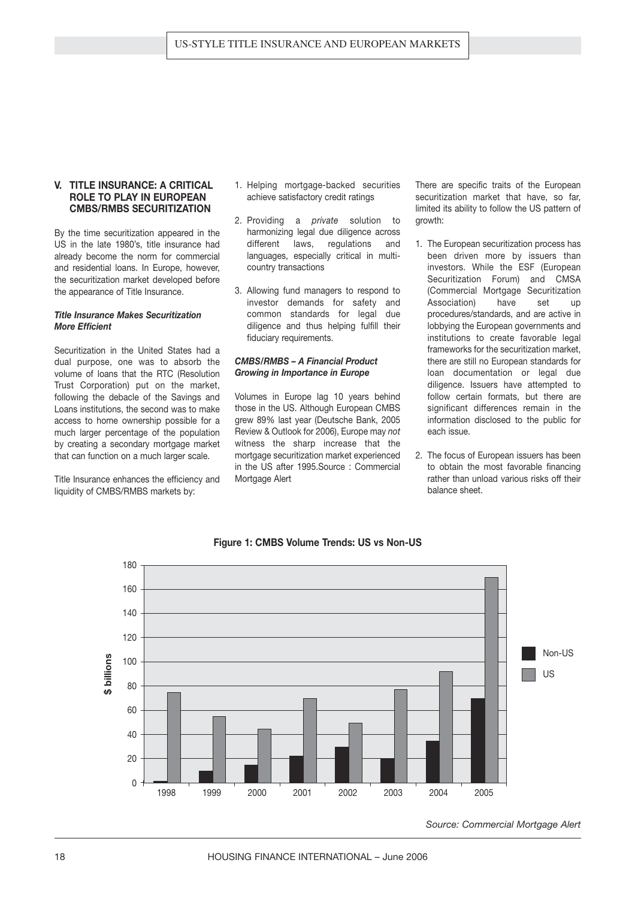#### **V. TITLE INSURANCE: A CRITICAL ROLE TO PLAY IN EUROPEAN CMBS/RMBS SECURITIZATION**

By the time securitization appeared in the US in the late 1980's, title insurance had already become the norm for commercial and residential loans. In Europe, however, the securitization market developed before the appearance of Title Insurance.

#### *Title Insurance Makes Securitization More Efficient*

Securitization in the United States had a dual purpose, one was to absorb the volume of loans that the RTC (Resolution Trust Corporation) put on the market, following the debacle of the Savings and Loans institutions, the second was to make access to home ownership possible for a much larger percentage of the population by creating a secondary mortgage market that can function on a much larger scale.

Title Insurance enhances the efficiency and liquidity of CMBS/RMBS markets by:

- 1. Helping mortgage-backed securities achieve satisfactory credit ratings
- 2. Providing a *private* solution to harmonizing legal due diligence across different laws, regulations and languages, especially critical in multicountry transactions
- 3. Allowing fund managers to respond to investor demands for safety and common standards for legal due diligence and thus helping fulfill their fiduciary requirements.

#### *CMBS/RMBS – A Financial Product Growing in Importance in Europe*

Volumes in Europe lag 10 years behind those in the US. Although European CMBS grew 89% last year (Deutsche Bank, 2005 Review & Outlook for 2006), Europe may *not* witness the sharp increase that the mortgage securitization market experienced in the US after 1995.Source : Commercial Mortgage Alert

There are specific traits of the European securitization market that have, so far, limited its ability to follow the US pattern of growth:

- 1. The European securitization process has been driven more by issuers than investors. While the ESF (European Securitization Forum) and CMSA (Commercial Mortgage Securitization Association) have set up procedures/standards, and are active in lobbying the European governments and institutions to create favorable legal frameworks for the securitization market, there are still no European standards for loan documentation or legal due diligence. Issuers have attempted to follow certain formats, but there are significant differences remain in the information disclosed to the public for each issue.
- 2. The focus of European issuers has been to obtain the most favorable financing rather than unload various risks off their balance sheet.



#### **Figure 1: CMBS Volume Trends: US vs Non-US**

*Source: Commercial Mortgage Alert*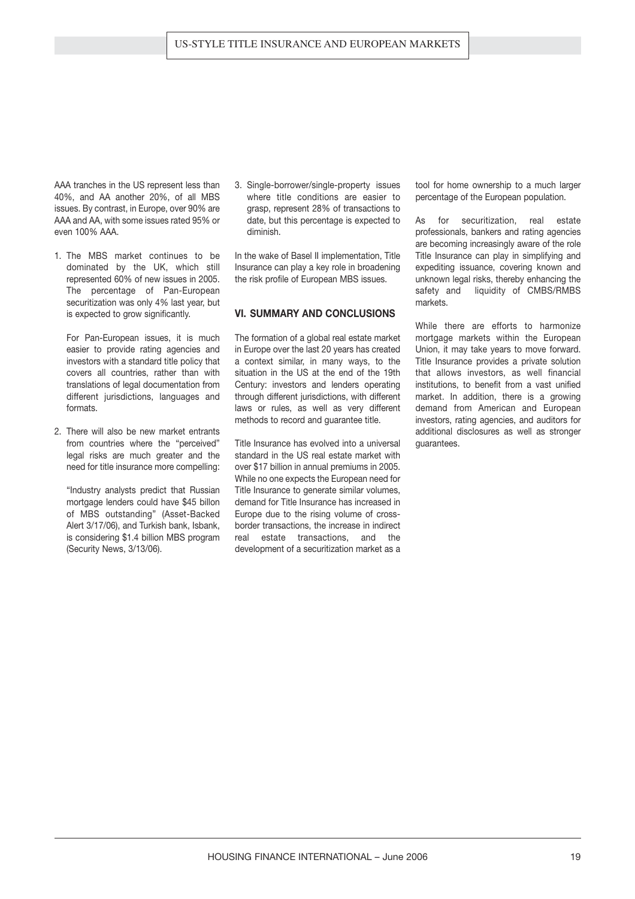AAA tranches in the US represent less than 40%, and AA another 20%, of all MBS issues. By contrast, in Europe, over 90% are AAA and AA, with some issues rated 95% or even 100% AAA.

1. The MBS market continues to be dominated by the UK, which still represented 60% of new issues in 2005. The percentage of Pan-European securitization was only 4% last year, but is expected to grow significantly.

For Pan-European issues, it is much easier to provide rating agencies and investors with a standard title policy that covers all countries, rather than with translations of legal documentation from different jurisdictions, languages and formats.

2. There will also be new market entrants from countries where the "perceived" legal risks are much greater and the need for title insurance more compelling:

"Industry analysts predict that Russian mortgage lenders could have \$45 billon of MBS outstanding" (Asset-Backed Alert 3/17/06), and Turkish bank, Isbank, is considering \$1.4 billion MBS program (Security News, 3/13/06).

3. Single-borrower/single-property issues where title conditions are easier to grasp, represent 28% of transactions to date, but this percentage is expected to diminish.

In the wake of Basel II implementation, Title Insurance can play a key role in broadening the risk profile of European MBS issues.

#### **VI. SUMMARY AND CONCLUSIONS**

The formation of a global real estate market in Europe over the last 20 years has created a context similar, in many ways, to the situation in the US at the end of the 19th Century: investors and lenders operating through different jurisdictions, with different laws or rules, as well as very different methods to record and guarantee title.

Title Insurance has evolved into a universal standard in the US real estate market with over \$17 billion in annual premiums in 2005. While no one expects the European need for Title Insurance to generate similar volumes, demand for Title Insurance has increased in Europe due to the rising volume of crossborder transactions, the increase in indirect real estate transactions, and the development of a securitization market as a tool for home ownership to a much larger percentage of the European population.

As for securitization, real estate professionals, bankers and rating agencies are becoming increasingly aware of the role Title Insurance can play in simplifying and expediting issuance, covering known and unknown legal risks, thereby enhancing the safety and liquidity of CMBS/RMBS markets.

While there are efforts to harmonize mortgage markets within the European Union, it may take years to move forward. Title Insurance provides a private solution that allows investors, as well financial institutions, to benefit from a vast unified market. In addition, there is a growing demand from American and European investors, rating agencies, and auditors for additional disclosures as well as stronger guarantees.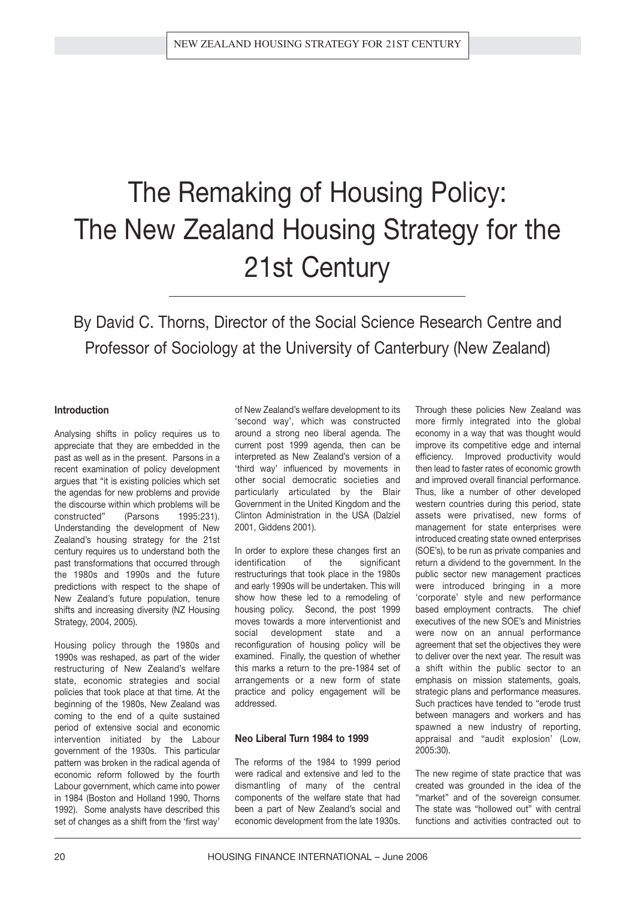# The Remaking of Housing Policy: The New Zealand Housing Strategy for the 21st Century

By David C. Thorns, Director of the Social Science Research Centre and Professor of Sociology at the University of Canterbury (New Zealand)

#### **Introduction**

Analysing shifts in policy requires us to appreciate that they are embedded in the past as well as in the present. Parsons in a recent examination of policy development argues that "it is existing policies which set the agendas for new problems and provide the discourse within which problems will be constructed" (Parsons 1995:231). Understanding the development of New Zealand's housing strategy for the 21st century requires us to understand both the past transformations that occurred through the 1980s and 1990s and the future predictions with respect to the shape of New Zealand's future population, tenure shifts and increasing diversity (NZ Housing Strategy, 2004, 2005).

Housing policy through the 1980s and 1990s was reshaped, as part of the wider restructuring of New Zealand's welfare state, economic strategies and social policies that took place at that time. At the beginning of the 1980s, New Zealand was coming to the end of a quite sustained period of extensive social and economic intervention initiated by the Labour government of the 1930s. This particular pattern was broken in the radical agenda of economic reform followed by the fourth Labour government, which came into power in 1984 (Boston and Holland 1990, Thorns 1992). Some analysts have described this set of changes as a shift from the 'first way'

of New Zealand's welfare development to its 'second way', which was constructed around a strong neo liberal agenda. The current post 1999 agenda, then can be interpreted as New Zealand's version of a 'third way' influenced by movements in other social democratic societies and particularly articulated by the Blair Government in the United Kingdom and the Clinton Administration in the USA (Dalziel 2001, Giddens 2001).

In order to explore these changes first an identification of the significant restructurings that took place in the 1980s and early 1990s will be undertaken. This will show how these led to a remodeling of housing policy. Second, the post 1999 moves towards a more interventionist and social development state and a reconfiguration of housing policy will be examined. Finally, the question of whether this marks a return to the pre-1984 set of arrangements or a new form of state practice and policy engagement will be addressed.

#### **Neo Liberal Turn 1984 to 1999**

The reforms of the 1984 to 1999 period were radical and extensive and led to the dismantling of many of the central components of the welfare state that had been a part of New Zealand's social and economic development from the late 1930s.

Through these policies New Zealand was more firmly integrated into the global economy in a way that was thought would improve its competitive edge and internal efficiency. Improved productivity would then lead to faster rates of economic growth and improved overall financial performance. Thus, like a number of other developed western countries during this period, state assets were privatised, new forms of management for state enterprises were introduced creating state owned enterprises (SOE's), to be run as private companies and return a dividend to the government. In the public sector new management practices were introduced bringing in a more 'corporate' style and new performance based employment contracts. The chief executives of the new SOE's and Ministries were now on an annual performance agreement that set the objectives they were to deliver over the next year. The result was a shift within the public sector to an emphasis on mission statements, goals, strategic plans and performance measures. Such practices have tended to "erode trust between managers and workers and has spawned a new industry of reporting, appraisal and "audit explosion' (Low, 2005:30).

The new regime of state practice that was created was grounded in the idea of the "market" and of the sovereign consumer. The state was "hollowed out" with central functions and activities contracted out to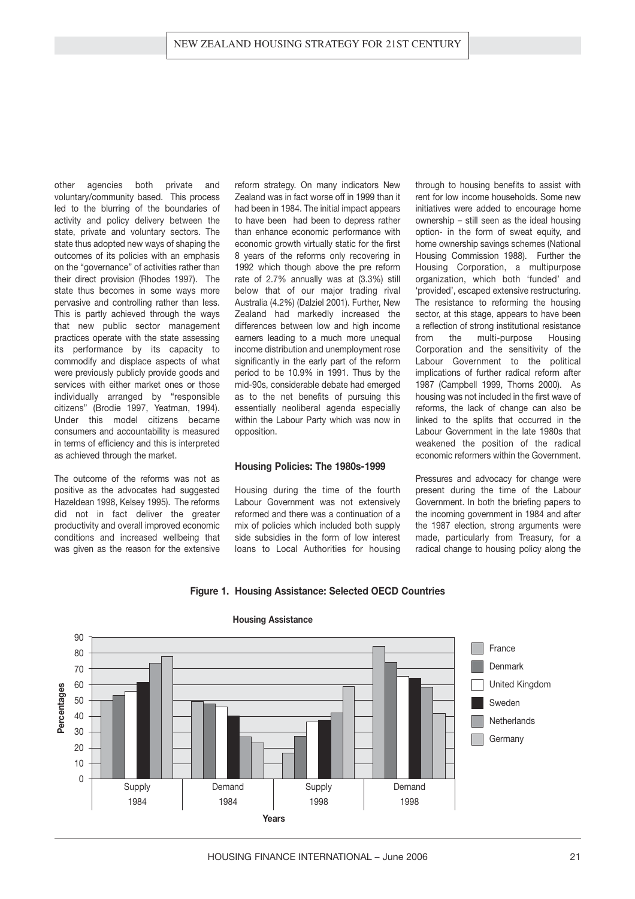other agencies both private and voluntary/community based. This process led to the blurring of the boundaries of activity and policy delivery between the state, private and voluntary sectors. The state thus adopted new ways of shaping the outcomes of its policies with an emphasis on the "governance" of activities rather than their direct provision (Rhodes 1997). The state thus becomes in some ways more pervasive and controlling rather than less. This is partly achieved through the ways that new public sector management practices operate with the state assessing its performance by its capacity to commodify and displace aspects of what were previously publicly provide goods and services with either market ones or those individually arranged by "responsible citizens" (Brodie 1997, Yeatman, 1994). Under this model citizens became consumers and accountability is measured in terms of efficiency and this is interpreted as achieved through the market.

The outcome of the reforms was not as positive as the advocates had suggested Hazeldean 1998, Kelsey 1995). The reforms did not in fact deliver the greater productivity and overall improved economic conditions and increased wellbeing that was given as the reason for the extensive reform strategy. On many indicators New Zealand was in fact worse off in 1999 than it had been in 1984. The initial impact appears to have been had been to depress rather than enhance economic performance with economic growth virtually static for the first 8 years of the reforms only recovering in 1992 which though above the pre reform rate of 2.7% annually was at (3.3%) still below that of our major trading rival Australia (4.2%) (Dalziel 2001). Further, New Zealand had markedly increased the differences between low and high income earners leading to a much more unequal income distribution and unemployment rose significantly in the early part of the reform period to be 10.9% in 1991. Thus by the mid-90s, considerable debate had emerged as to the net benefits of pursuing this essentially neoliberal agenda especially within the Labour Party which was now in opposition.

#### **Housing Policies: The 1980s-1999**

Housing during the time of the fourth Labour Government was not extensively reformed and there was a continuation of a mix of policies which included both supply side subsidies in the form of low interest loans to Local Authorities for housing

**Figure 1. Housing Assistance: Selected OECD Countries**

through to housing benefits to assist with rent for low income households. Some new initiatives were added to encourage home ownership – still seen as the ideal housing option- in the form of sweat equity, and home ownership savings schemes (National Housing Commission 1988). Further the Housing Corporation, a multipurpose organization, which both 'funded' and 'provided', escaped extensive restructuring. The resistance to reforming the housing sector, at this stage, appears to have been a reflection of strong institutional resistance from the multi-purpose Housing Corporation and the sensitivity of the Labour Government to the political implications of further radical reform after 1987 (Campbell 1999, Thorns 2000). As housing was not included in the first wave of reforms, the lack of change can also be linked to the splits that occurred in the Labour Government in the late 1980s that weakened the position of the radical economic reformers within the Government.

Pressures and advocacy for change were present during the time of the Labour Government. In both the briefing papers to the incoming government in 1984 and after the 1987 election, strong arguments were made, particularly from Treasury, for a radical change to housing policy along the



#### **Housing Assistance**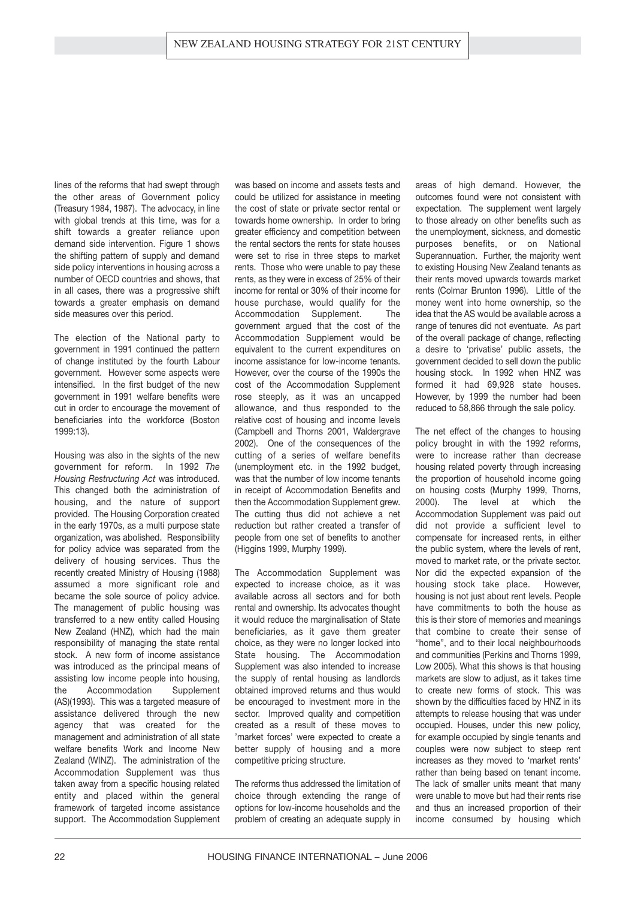lines of the reforms that had swept through the other areas of Government policy (Treasury 1984, 1987). The advocacy, in line with global trends at this time, was for a shift towards a greater reliance upon demand side intervention. Figure 1 shows the shifting pattern of supply and demand side policy interventions in housing across a number of OECD countries and shows, that in all cases, there was a progressive shift towards a greater emphasis on demand side measures over this period.

The election of the National party to government in 1991 continued the pattern of change instituted by the fourth Labour government. However some aspects were intensified. In the first budget of the new government in 1991 welfare benefits were cut in order to encourage the movement of beneficiaries into the workforce (Boston 1999:13).

Housing was also in the sights of the new government for reform. In 1992 *The Housing Restructuring Act* was introduced. This changed both the administration of housing, and the nature of support provided. The Housing Corporation created in the early 1970s, as a multi purpose state organization, was abolished. Responsibility for policy advice was separated from the delivery of housing services. Thus the recently created Ministry of Housing (1988) assumed a more significant role and became the sole source of policy advice. The management of public housing was transferred to a new entity called Housing New Zealand (HNZ), which had the main responsibility of managing the state rental stock. A new form of income assistance was introduced as the principal means of assisting low income people into housing, the Accommodation Supplement (AS)(1993). This was a targeted measure of assistance delivered through the new agency that was created for the management and administration of all state welfare benefits Work and Income New Zealand (WINZ). The administration of the Accommodation Supplement was thus taken away from a specific housing related entity and placed within the general framework of targeted income assistance support. The Accommodation Supplement

was based on income and assets tests and could be utilized for assistance in meeting the cost of state or private sector rental or towards home ownership. In order to bring greater efficiency and competition between the rental sectors the rents for state houses were set to rise in three steps to market rents. Those who were unable to pay these rents, as they were in excess of 25% of their income for rental or 30% of their income for house purchase, would qualify for the Accommodation Supplement. The government argued that the cost of the Accommodation Supplement would be equivalent to the current expenditures on income assistance for low-income tenants. However, over the course of the 1990s the cost of the Accommodation Supplement rose steeply, as it was an uncapped allowance, and thus responded to the relative cost of housing and income levels (Campbell and Thorns 2001, Waldergrave 2002). One of the consequences of the cutting of a series of welfare benefits (unemployment etc. in the 1992 budget, was that the number of low income tenants in receipt of Accommodation Benefits and then the Accommodation Supplement grew. The cutting thus did not achieve a net reduction but rather created a transfer of people from one set of benefits to another (Higgins 1999, Murphy 1999).

The Accommodation Supplement was expected to increase choice, as it was available across all sectors and for both rental and ownership. Its advocates thought it would reduce the marginalisation of State beneficiaries, as it gave them greater choice, as they were no longer locked into State housing. The Accommodation Supplement was also intended to increase the supply of rental housing as landlords obtained improved returns and thus would be encouraged to investment more in the sector. Improved quality and competition created as a result of these moves to 'market forces' were expected to create a better supply of housing and a more competitive pricing structure.

The reforms thus addressed the limitation of choice through extending the range of options for low-income households and the problem of creating an adequate supply in areas of high demand. However, the outcomes found were not consistent with expectation. The supplement went largely to those already on other benefits such as the unemployment, sickness, and domestic purposes benefits, or on National Superannuation. Further, the majority went to existing Housing New Zealand tenants as their rents moved upwards towards market rents (Colmar Brunton 1996). Little of the money went into home ownership, so the idea that the AS would be available across a range of tenures did not eventuate. As part of the overall package of change, reflecting a desire to 'privatise' public assets, the government decided to sell down the public housing stock. In 1992 when HNZ was formed it had 69,928 state houses. However, by 1999 the number had been reduced to 58,866 through the sale policy.

The net effect of the changes to housing policy brought in with the 1992 reforms, were to increase rather than decrease housing related poverty through increasing the proportion of household income going on housing costs (Murphy 1999, Thorns, 2000). The level at which the Accommodation Supplement was paid out did not provide a sufficient level to compensate for increased rents, in either the public system, where the levels of rent, moved to market rate, or the private sector. Nor did the expected expansion of the housing stock take place. However, housing is not just about rent levels. People have commitments to both the house as this is their store of memories and meanings that combine to create their sense of "home", and to their local neighbourhoods and communities (Perkins and Thorns 1999, Low 2005). What this shows is that housing markets are slow to adjust, as it takes time to create new forms of stock. This was shown by the difficulties faced by HNZ in its attempts to release housing that was under occupied. Houses, under this new policy, for example occupied by single tenants and couples were now subject to steep rent increases as they moved to 'market rents' rather than being based on tenant income. The lack of smaller units meant that many were unable to move but had their rents rise and thus an increased proportion of their income consumed by housing which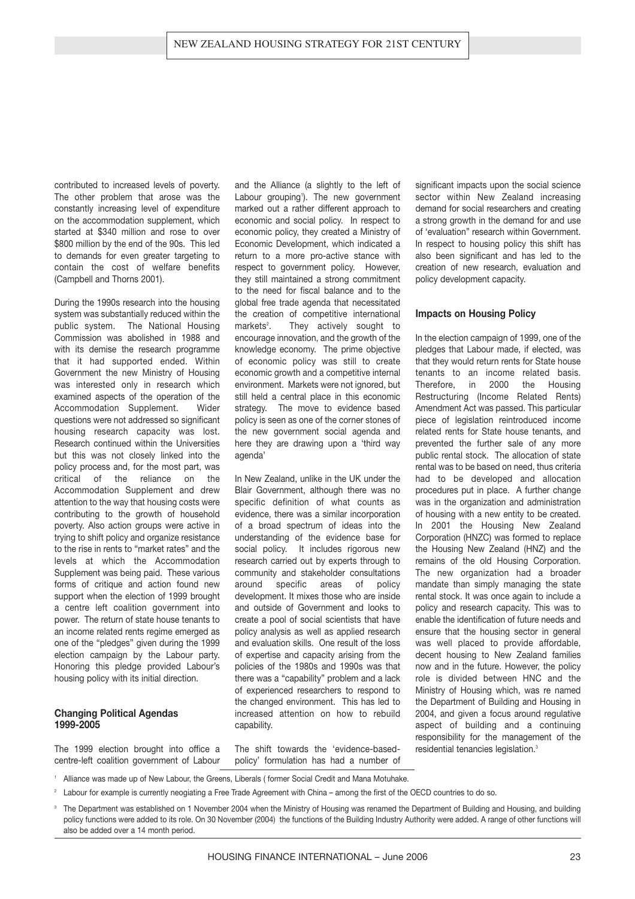contributed to increased levels of poverty. The other problem that arose was the constantly increasing level of expenditure on the accommodation supplement, which started at \$340 million and rose to over \$800 million by the end of the 90s. This led to demands for even greater targeting to contain the cost of welfare benefits (Campbell and Thorns 2001).

During the 1990s research into the housing system was substantially reduced within the public system. The National Housing Commission was abolished in 1988 and with its demise the research programme that it had supported ended. Within Government the new Ministry of Housing was interested only in research which examined aspects of the operation of the Accommodation Supplement. Wider questions were not addressed so significant housing research capacity was lost. Research continued within the Universities but this was not closely linked into the policy process and, for the most part, was critical of the reliance on the Accommodation Supplement and drew attention to the way that housing costs were contributing to the growth of household poverty. Also action groups were active in trying to shift policy and organize resistance to the rise in rents to "market rates" and the levels at which the Accommodation Supplement was being paid. These various forms of critique and action found new support when the election of 1999 brought a centre left coalition government into power. The return of state house tenants to an income related rents regime emerged as one of the "pledges" given during the 1999 election campaign by the Labour party. Honoring this pledge provided Labour's housing policy with its initial direction.

#### **Changing Political Agendas 1999-2005**

The 1999 election brought into office a centre-left coalition government of Labour

and the Alliance (a slightly to the left of Labour grouping<sup>1</sup>). The new government marked out a rather different approach to economic and social policy. In respect to economic policy, they created a Ministry of Economic Development, which indicated a return to a more pro-active stance with respect to government policy. However, they still maintained a strong commitment to the need for fiscal balance and to the global free trade agenda that necessitated the creation of competitive international  $markets<sup>2</sup>$ . They actively sought to encourage innovation, and the growth of the knowledge economy. The prime objective of economic policy was still to create economic growth and a competitive internal environment. Markets were not ignored, but still held a central place in this economic strategy. The move to evidence based policy is seen as one of the corner stones of the new government social agenda and here they are drawing upon a 'third way agenda'

In New Zealand, unlike in the UK under the Blair Government, although there was no specific definition of what counts as evidence, there was a similar incorporation of a broad spectrum of ideas into the understanding of the evidence base for social policy. It includes rigorous new research carried out by experts through to community and stakeholder consultations around specific areas of policy development. It mixes those who are inside and outside of Government and looks to create a pool of social scientists that have policy analysis as well as applied research and evaluation skills. One result of the loss of expertise and capacity arising from the policies of the 1980s and 1990s was that there was a "capability" problem and a lack of experienced researchers to respond to the changed environment. This has led to increased attention on how to rebuild capability.

The shift towards the 'evidence-basedpolicy' formulation has had a number of significant impacts upon the social science sector within New Zealand increasing demand for social researchers and creating a strong growth in the demand for and use of 'evaluation" research within Government. In respect to housing policy this shift has also been significant and has led to the creation of new research, evaluation and policy development capacity.

#### **Impacts on Housing Policy**

In the election campaign of 1999, one of the pledges that Labour made, if elected, was that they would return rents for State house tenants to an income related basis. Therefore, in 2000 the Housing Restructuring (Income Related Rents) Amendment Act was passed. This particular piece of legislation reintroduced income related rents for State house tenants, and prevented the further sale of any more public rental stock. The allocation of state rental was to be based on need, thus criteria had to be developed and allocation procedures put in place. A further change was in the organization and administration of housing with a new entity to be created. In 2001 the Housing New Zealand Corporation (HNZC) was formed to replace the Housing New Zealand (HNZ) and the remains of the old Housing Corporation. The new organization had a broader mandate than simply managing the state rental stock. It was once again to include a policy and research capacity. This was to enable the identification of future needs and ensure that the housing sector in general was well placed to provide affordable, decent housing to New Zealand families now and in the future. However, the policy role is divided between HNC and the Ministry of Housing which, was re named the Department of Building and Housing in 2004, and given a focus around regulative aspect of building and a continuing responsibility for the management of the residential tenancies legislation.<sup>3</sup>

Alliance was made up of New Labour, the Greens, Liberals ( former Social Credit and Mana Motuhake.

<sup>2</sup> Labour for example is currently neogiating a Free Trade Agreement with China – among the first of the OECD countries to do so.

<sup>3</sup> The Department was established on 1 November 2004 when the Ministry of Housing was renamed the Department of Building and Housing, and building policy functions were added to its role. On 30 November (2004) the functions of the Building Industry Authority were added. A range of other functions will also be added over a 14 month period.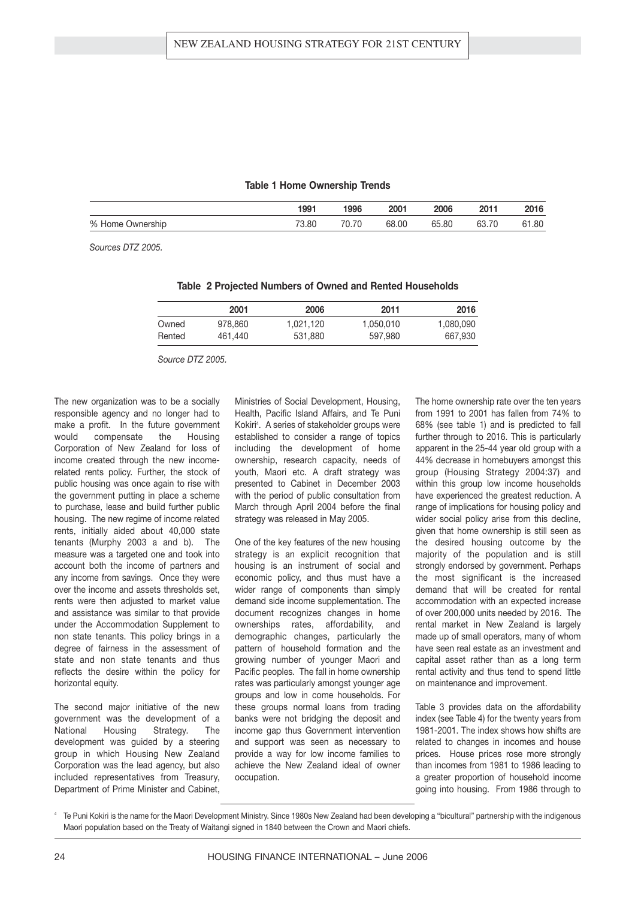#### **Table 1 Home Ownership Trends**

|                  | 1991  | 1996  | 2001  | 2006  | 2011           | 2016  |
|------------------|-------|-------|-------|-------|----------------|-------|
| % Home Ownership | 73.80 | 70.70 | 68.00 | 65.80 | $\sim$<br>ו טט | 61.80 |

*Sources DTZ 2005.*

|  |  | Table 2 Projected Numbers of Owned and Rented Households |  |  |  |
|--|--|----------------------------------------------------------|--|--|--|
|--|--|----------------------------------------------------------|--|--|--|

|        | 2001    | 2006      | 2011      | 2016      |
|--------|---------|-----------|-----------|-----------|
| Owned  | 978.860 | 1,021,120 | 1,050,010 | 1,080,090 |
| Rented | 461.440 | 531,880   | 597,980   | 667,930   |

*Source DTZ 2005.*

The new organization was to be a socially responsible agency and no longer had to make a profit. In the future government would compensate the Housing Corporation of New Zealand for loss of income created through the new incomerelated rents policy. Further, the stock of public housing was once again to rise with the government putting in place a scheme to purchase, lease and build further public housing. The new regime of income related rents, initially aided about 40,000 state tenants (Murphy 2003 a and b). The measure was a targeted one and took into account both the income of partners and any income from savings. Once they were over the income and assets thresholds set, rents were then adjusted to market value and assistance was similar to that provide under the Accommodation Supplement to non state tenants. This policy brings in a degree of fairness in the assessment of state and non state tenants and thus reflects the desire within the policy for horizontal equity.

The second major initiative of the new government was the development of a National Housing Strategy. The development was guided by a steering group in which Housing New Zealand Corporation was the lead agency, but also included representatives from Treasury, Department of Prime Minister and Cabinet,

Ministries of Social Development, Housing, Health, Pacific Island Affairs, and Te Puni Kokiri<sup>4</sup> . A series of stakeholder groups were established to consider a range of topics including the development of home ownership, research capacity, needs of youth, Maori etc. A draft strategy was presented to Cabinet in December 2003 with the period of public consultation from March through April 2004 before the final strategy was released in May 2005.

One of the key features of the new housing strategy is an explicit recognition that housing is an instrument of social and economic policy, and thus must have a wider range of components than simply demand side income supplementation. The document recognizes changes in home ownerships rates, affordability, and demographic changes, particularly the pattern of household formation and the growing number of younger Maori and Pacific peoples. The fall in home ownership rates was particularly amongst younger age groups and low in come households. For these groups normal loans from trading banks were not bridging the deposit and income gap thus Government intervention and support was seen as necessary to provide a way for low income families to achieve the New Zealand ideal of owner occupation.

The home ownership rate over the ten years from 1991 to 2001 has fallen from 74% to 68% (see table 1) and is predicted to fall further through to 2016. This is particularly apparent in the 25-44 year old group with a 44% decrease in homebuyers amongst this group (Housing Strategy 2004:37) and within this group low income households have experienced the greatest reduction. A range of implications for housing policy and wider social policy arise from this decline, given that home ownership is still seen as the desired housing outcome by the majority of the population and is still strongly endorsed by government. Perhaps the most significant is the increased demand that will be created for rental accommodation with an expected increase of over 200,000 units needed by 2016. The rental market in New Zealand is largely made up of small operators, many of whom have seen real estate as an investment and capital asset rather than as a long term rental activity and thus tend to spend little on maintenance and improvement.

Table 3 provides data on the affordability index (see Table 4) for the twenty years from 1981-2001. The index shows how shifts are related to changes in incomes and house prices. House prices rose more strongly than incomes from 1981 to 1986 leading to a greater proportion of household income going into housing. From 1986 through to

Te Puni Kokiri is the name for the Maori Development Ministry. Since 1980s New Zealand had been developing a "bicultural" partnership with the indigenous Maori population based on the Treaty of Waitangi signed in 1840 between the Crown and Maori chiefs.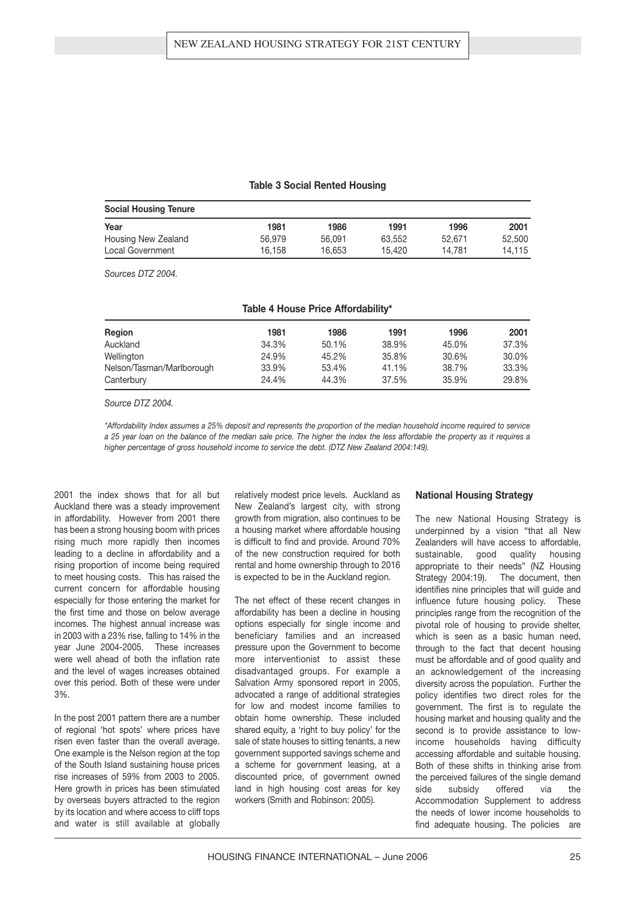#### **Table 3 Social Rented Housing**

| <b>Social Housing Tenure</b> |        |        |        |        |        |  |  |
|------------------------------|--------|--------|--------|--------|--------|--|--|
| Year                         | 1981   | 1986   | 1991   | 1996   | 2001   |  |  |
| Housing New Zealand          | 56,979 | 56,091 | 63.552 | 52.671 | 52,500 |  |  |
| Local Government             | 16.158 | 16,653 | 15.420 | 14.781 | 14.115 |  |  |

*Sources DTZ 2004.*

| <b>Region</b>             | 1981  | 1986  | 1991  | 1996  | 2001  |
|---------------------------|-------|-------|-------|-------|-------|
| Auckland                  | 34.3% | 50.1% | 38.9% | 45.0% | 37.3% |
| Wellington                | 24.9% | 45.2% | 35.8% | 30.6% | 30.0% |
| Nelson/Tasman/Marlborough | 33.9% | 53.4% | 41.1% | 38.7% | 33.3% |
| Canterbury                | 24.4% | 44.3% | 37.5% | 35.9% | 29.8% |

*Source DTZ 2004.*

*\*Affordability Index assumes a 25% deposit and represents the proportion of the median household income required to service a 25 year loan on the balance of the median sale price. The higher the index the less affordable the property as it requires a higher percentage of gross household income to service the debt. (DTZ New Zealand 2004:149).*

2001 the index shows that for all but Auckland there was a steady improvement in affordability. However from 2001 there has been a strong housing boom with prices rising much more rapidly then incomes leading to a decline in affordability and a rising proportion of income being required to meet housing costs. This has raised the current concern for affordable housing especially for those entering the market for the first time and those on below average incomes. The highest annual increase was in 2003 with a 23% rise, falling to 14% in the year June 2004-2005. These increases were well ahead of both the inflation rate and the level of wages increases obtained over this period. Both of these were under 3%.

In the post 2001 pattern there are a number of regional 'hot spots' where prices have risen even faster than the overall average. One example is the Nelson region at the top of the South Island sustaining house prices rise increases of 59% from 2003 to 2005. Here growth in prices has been stimulated by overseas buyers attracted to the region by its location and where access to cliff tops and water is still available at globally

relatively modest price levels. Auckland as New Zealand's largest city, with strong growth from migration, also continues to be a housing market where affordable housing is difficult to find and provide. Around 70% of the new construction required for both rental and home ownership through to 2016 is expected to be in the Auckland region.

The net effect of these recent changes in affordability has been a decline in housing options especially for single income and beneficiary families and an increased pressure upon the Government to become more interventionist to assist these disadvantaged groups. For example a Salvation Army sponsored report in 2005, advocated a range of additional strategies for low and modest income families to obtain home ownership. These included shared equity, a 'right to buy policy' for the sale of state houses to sitting tenants, a new government supported savings scheme and a scheme for government leasing, at a discounted price, of government owned land in high housing cost areas for key workers (Smith and Robinson: 2005).

#### **National Housing Strategy**

The new National Housing Strategy is underpinned by a vision "that all New Zealanders will have access to affordable, sustainable, good quality housing appropriate to their needs" (NZ Housing Strategy 2004:19). The document, then identifies nine principles that will guide and influence future housing policy. These principles range from the recognition of the pivotal role of housing to provide shelter, which is seen as a basic human need, through to the fact that decent housing must be affordable and of good quality and an acknowledgement of the increasing diversity across the population. Further the policy identifies two direct roles for the government. The first is to regulate the housing market and housing quality and the second is to provide assistance to lowincome households having difficulty accessing affordable and suitable housing. Both of these shifts in thinking arise from the perceived failures of the single demand side subsidy offered via the Accommodation Supplement to address the needs of lower income households to find adequate housing. The policies are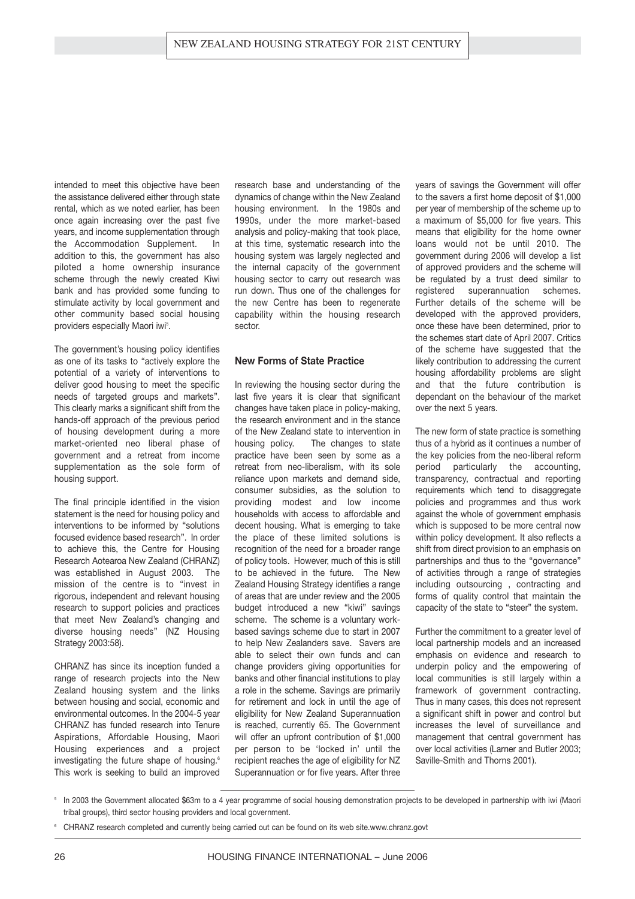intended to meet this objective have been the assistance delivered either through state rental, which as we noted earlier, has been once again increasing over the past five years, and income supplementation through the Accommodation Supplement. In addition to this, the government has also piloted a home ownership insurance scheme through the newly created Kiwi bank and has provided some funding to stimulate activity by local government and other community based social housing providers especially Maori iwi<sup>s</sup>.

The government's housing policy identifies as one of its tasks to "actively explore the potential of a variety of interventions to deliver good housing to meet the specific needs of targeted groups and markets". This clearly marks a significant shift from the hands-off approach of the previous period of housing development during a more market-oriented neo liberal phase of government and a retreat from income supplementation as the sole form of housing support.

The final principle identified in the vision statement is the need for housing policy and interventions to be informed by "solutions focused evidence based research". In order to achieve this, the Centre for Housing Research Aotearoa New Zealand (CHRANZ) was established in August 2003. The mission of the centre is to "invest in rigorous, independent and relevant housing research to support policies and practices that meet New Zealand's changing and diverse housing needs" (NZ Housing Strategy 2003:58).

CHRANZ has since its inception funded a range of research projects into the New Zealand housing system and the links between housing and social, economic and environmental outcomes. In the 2004-5 year CHRANZ has funded research into Tenure Aspirations, Affordable Housing, Maori Housing experiences and a project investigating the future shape of housing.<sup>6</sup> This work is seeking to build an improved

research base and understanding of the dynamics of change within the New Zealand housing environment. In the 1980s and 1990s, under the more market-based analysis and policy-making that took place, at this time, systematic research into the housing system was largely neglected and the internal capacity of the government housing sector to carry out research was run down. Thus one of the challenges for the new Centre has been to regenerate capability within the housing research sector.

#### **New Forms of State Practice**

In reviewing the housing sector during the last five years it is clear that significant changes have taken place in policy-making, the research environment and in the stance of the New Zealand state to intervention in housing policy. The changes to state practice have been seen by some as a retreat from neo-liberalism, with its sole reliance upon markets and demand side, consumer subsidies, as the solution to providing modest and low income households with access to affordable and decent housing. What is emerging to take the place of these limited solutions is recognition of the need for a broader range of policy tools. However, much of this is still to be achieved in the future. The New Zealand Housing Strategy identifies a range of areas that are under review and the 2005 budget introduced a new "kiwi" savings scheme. The scheme is a voluntary workbased savings scheme due to start in 2007 to help New Zealanders save. Savers are able to select their own funds and can change providers giving opportunities for banks and other financial institutions to play a role in the scheme. Savings are primarily for retirement and lock in until the age of eligibility for New Zealand Superannuation is reached, currently 65. The Government will offer an upfront contribution of \$1,000 per person to be 'locked in' until the recipient reaches the age of eligibility for NZ Superannuation or for five years. After three years of savings the Government will offer to the savers a first home deposit of \$1,000 per year of membership of the scheme up to a maximum of \$5,000 for five years. This means that eligibility for the home owner loans would not be until 2010. The government during 2006 will develop a list of approved providers and the scheme will be regulated by a trust deed similar to registered superannuation schemes. Further details of the scheme will be developed with the approved providers, once these have been determined, prior to the schemes start date of April 2007. Critics of the scheme have suggested that the likely contribution to addressing the current housing affordability problems are slight and that the future contribution is dependant on the behaviour of the market over the next 5 years.

The new form of state practice is something thus of a hybrid as it continues a number of the key policies from the neo-liberal reform period particularly the accounting, transparency, contractual and reporting requirements which tend to disaggregate policies and programmes and thus work against the whole of government emphasis which is supposed to be more central now within policy development. It also reflects a shift from direct provision to an emphasis on partnerships and thus to the "governance" of activities through a range of strategies including outsourcing , contracting and forms of quality control that maintain the capacity of the state to "steer" the system.

Further the commitment to a greater level of local partnership models and an increased emphasis on evidence and research to underpin policy and the empowering of local communities is still largely within a framework of government contracting. Thus in many cases, this does not represent a significant shift in power and control but increases the level of surveillance and management that central government has over local activities (Larner and Butler 2003; Saville-Smith and Thorns 2001).

<sup>5</sup> In 2003 the Government allocated \$63m to a 4 year programme of social housing demonstration projects to be developed in partnership with iwi (Maori tribal groups), third sector housing providers and local government.

<sup>6</sup> CHRANZ research completed and currently being carried out can be found on its web site.www.chranz.govt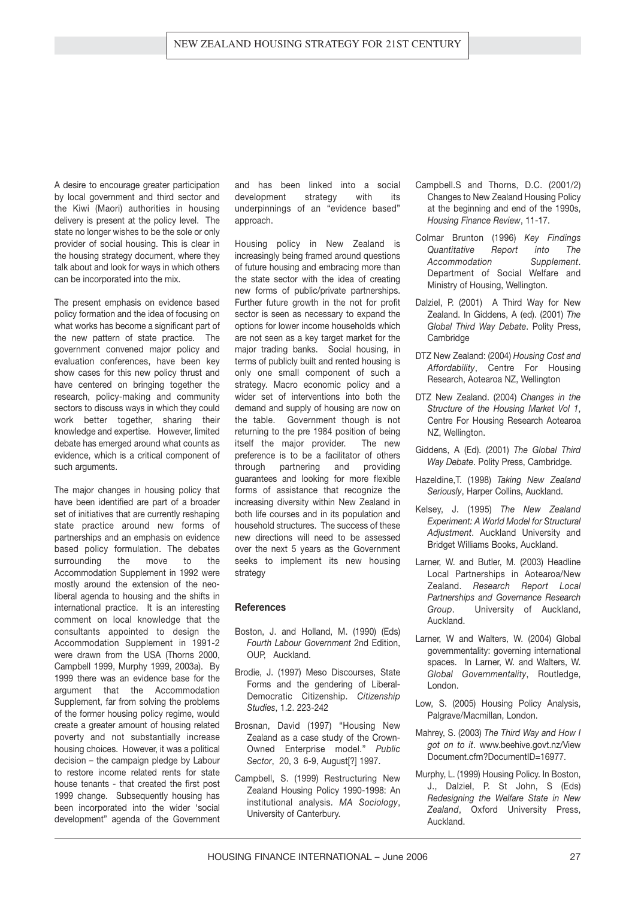A desire to encourage greater participation by local government and third sector and the Kiwi (Maori) authorities in housing delivery is present at the policy level. The state no longer wishes to be the sole or only provider of social housing. This is clear in the housing strategy document, where they talk about and look for ways in which others can be incorporated into the mix.

The present emphasis on evidence based policy formation and the idea of focusing on what works has become a significant part of the new pattern of state practice. The government convened major policy and evaluation conferences, have been key show cases for this new policy thrust and have centered on bringing together the research, policy-making and community sectors to discuss ways in which they could work better together, sharing their knowledge and expertise. However, limited debate has emerged around what counts as evidence, which is a critical component of such arguments.

The major changes in housing policy that have been identified are part of a broader set of initiatives that are currently reshaping state practice around new forms of partnerships and an emphasis on evidence based policy formulation. The debates surrounding the move to the Accommodation Supplement in 1992 were mostly around the extension of the neoliberal agenda to housing and the shifts in international practice. It is an interesting comment on local knowledge that the consultants appointed to design the Accommodation Supplement in 1991-2 were drawn from the USA (Thorns 2000, Campbell 1999, Murphy 1999, 2003a). By 1999 there was an evidence base for the argument that the Accommodation Supplement, far from solving the problems of the former housing policy regime, would create a greater amount of housing related poverty and not substantially increase housing choices. However, it was a political decision – the campaign pledge by Labour to restore income related rents for state house tenants - that created the first post 1999 change. Subsequently housing has been incorporated into the wider 'social development" agenda of the Government

and has been linked into a social development strategy with its underpinnings of an "evidence based" approach.

Housing policy in New Zealand is increasingly being framed around questions of future housing and embracing more than the state sector with the idea of creating new forms of public/private partnerships. Further future growth in the not for profit sector is seen as necessary to expand the options for lower income households which are not seen as a key target market for the major trading banks. Social housing, in terms of publicly built and rented housing is only one small component of such a strategy. Macro economic policy and a wider set of interventions into both the demand and supply of housing are now on the table. Government though is not returning to the pre 1984 position of being itself the major provider. The new preference is to be a facilitator of others through partnering and providing guarantees and looking for more flexible forms of assistance that recognize the increasing diversity within New Zealand in both life courses and in its population and household structures. The success of these new directions will need to be assessed over the next 5 years as the Government seeks to implement its new housing strategy

#### **References**

- Boston, J. and Holland, M. (1990) (Eds) *Fourth Labour Government* 2nd Edition, OUP, Auckland.
- Brodie, J. (1997) Meso Discourses, State Forms and the gendering of Liberal-Democratic Citizenship. *Citizenship Studies*, 1.2. 223-242
- Brosnan, David (1997) "Housing New Zealand as a case study of the Crown-Owned Enterprise model." *Public Sector*, 20, 3 6-9, August[?] 1997.
- Campbell, S. (1999) Restructuring New Zealand Housing Policy 1990-1998: An institutional analysis. *MA Sociology*, University of Canterbury.
- Campbell.S and Thorns, D.C. (2001/2) Changes to New Zealand Housing Policy at the beginning and end of the 1990s, *Housing Finance Review*, 11-17.
- Colmar Brunton (1996) *Key Findings Quantitative Report into The Accommodation Supplement*. Department of Social Welfare and Ministry of Housing, Wellington.
- Dalziel, P. (2001) A Third Way for New Zealand. In Giddens, A (ed). (2001) *The Global Third Way Debate*. Polity Press, Cambridge
- DTZ New Zealand: (2004) *Housing Cost and Affordability*, Centre For Housing Research, Aotearoa NZ, Wellington
- DTZ New Zealand. (2004) *Changes in the Structure of the Housing Market Vol 1*, Centre For Housing Research Aotearoa NZ, Wellington.
- Giddens, A (Ed). (2001) *The Global Third Way Debate*. Polity Press, Cambridge.
- Hazeldine,T. (1998) *Taking New Zealand Seriously*, Harper Collins, Auckland.
- Kelsey, J. (1995) *The New Zealand Experiment: A World Model for Structural Adjustment*. Auckland University and Bridget Williams Books, Auckland.
- Larner, W. and Butler, M. (2003) Headline Local Partnerships in Aotearoa/New Zealand. *Research Report Local Partnerships and Governance Research Group*. University of Auckland, Auckland.
- Larner, W and Walters, W. (2004) Global governmentality: governing international spaces. In Larner, W. and Walters, W. *Global Governmentality*, Routledge, London.
- Low, S. (2005) Housing Policy Analysis, Palgrave/Macmillan, London.
- Mahrey, S. (2003) *The Third Way and How I got on to it*. www.beehive.govt.nz/View Document.cfm?DocumentID=16977.
- Murphy, L. (1999) Housing Policy. In Boston, J., Dalziel, P. St John, S (Eds) *Redesigning the Welfare State in New Zealand*, Oxford University Press, Auckland.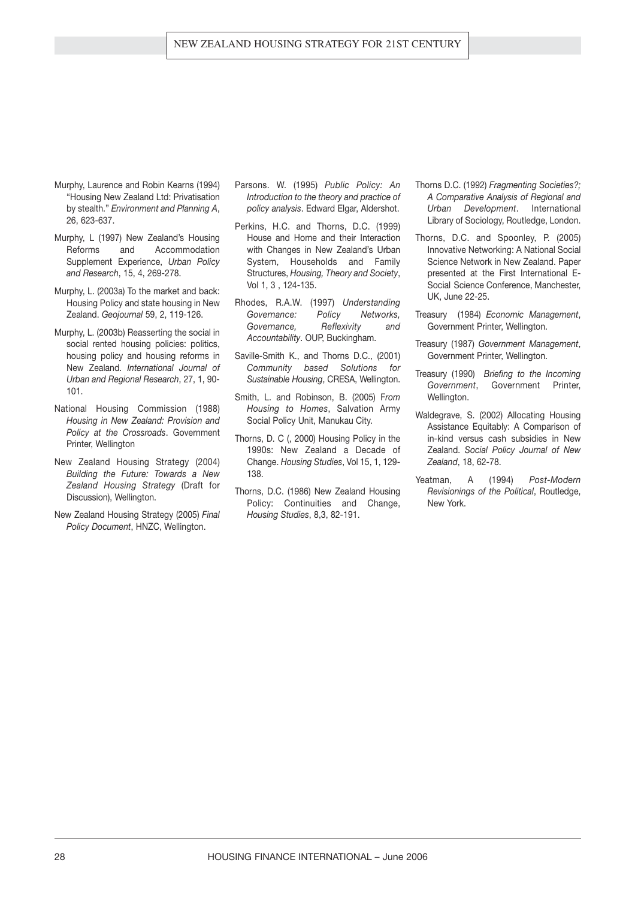- Murphy, Laurence and Robin Kearns (1994) "Housing New Zealand Ltd: Privatisation by stealth." *Environment and Planning A*, 26, 623-637.
- Murphy, L (1997) New Zealand's Housing Reforms and Accommodation Supplement Experience, *Urban Policy and Research*, 15, 4, 269-278.
- Murphy, L. (2003a) To the market and back: Housing Policy and state housing in New Zealand. *Geojournal* 59, 2, 119-126.
- Murphy, L. (2003b) Reasserting the social in social rented housing policies: politics, housing policy and housing reforms in New Zealand. *International Journal of Urban and Regional Research*, 27, 1, 90- 101.
- National Housing Commission (1988) *Housing in New Zealand: Provision and Policy at the Crossroads*. Government Printer, Wellington
- New Zealand Housing Strategy (2004) *Building the Future: Towards a New Zealand Housing Strategy* (Draft for Discussion), Wellington.
- New Zealand Housing Strategy (2005) *Final Policy Document*, HNZC, Wellington.
- Parsons. W. (1995) *Public Policy: An Introduction to the theory and practice of policy analysis*. Edward Elgar, Aldershot.
- Perkins, H.C. and Thorns, D.C. (1999) House and Home and their Interaction with Changes in New Zealand's Urban System, Households and Family Structures, *Housing, Theory and Society*, Vol 1, 3 , 124-135.
- Rhodes, R.A.W. (1997) *Understanding Governance: Policy Networks, Governance, Reflexivity and Accountability*. OUP, Buckingham.
- Saville-Smith K., and Thorns D.C., (2001) *Community based Solutions for Sustainable Housing*, CRESA, Wellington.
- Smith, L. and Robinson, B. (2005) F*rom Housing to Homes*, Salvation Army Social Policy Unit, Manukau City.
- Thorns, D. C (, 2000) Housing Policy in the 1990s: New Zealand a Decade of Change. *Housing Studies*, Vol 15, 1, 129- 138.
- Thorns, D.C. (1986) New Zealand Housing Policy: Continuities and Change, *Housing Studies*, 8,3, 82-191.
- Thorns D.C. (1992) *Fragmenting Societies?; A Comparative Analysis of Regional and Urban Development*. International Library of Sociology, Routledge, London.
- Thorns, D.C. and Spoonley, P. (2005) Innovative Networking: A National Social Science Network in New Zealand. Paper presented at the First International E-Social Science Conference, Manchester, UK, June 22-25.
- Treasury (1984) *Economic Management*, Government Printer, Wellington.
- Treasury (1987) *Government Management*, Government Printer, Wellington.
- Treasury (1990) *Briefing to the Incoming Government*, Government Printer, Wellington.
- Waldegrave, S. (2002) Allocating Housing Assistance Equitably: A Comparison of in-kind versus cash subsidies in New Zealand. *Social Policy Journal of New Zealand*, 18, 62-78.
- Yeatman, A (1994) *Post-Modern Revisionings of the Political*, Routledge, New York.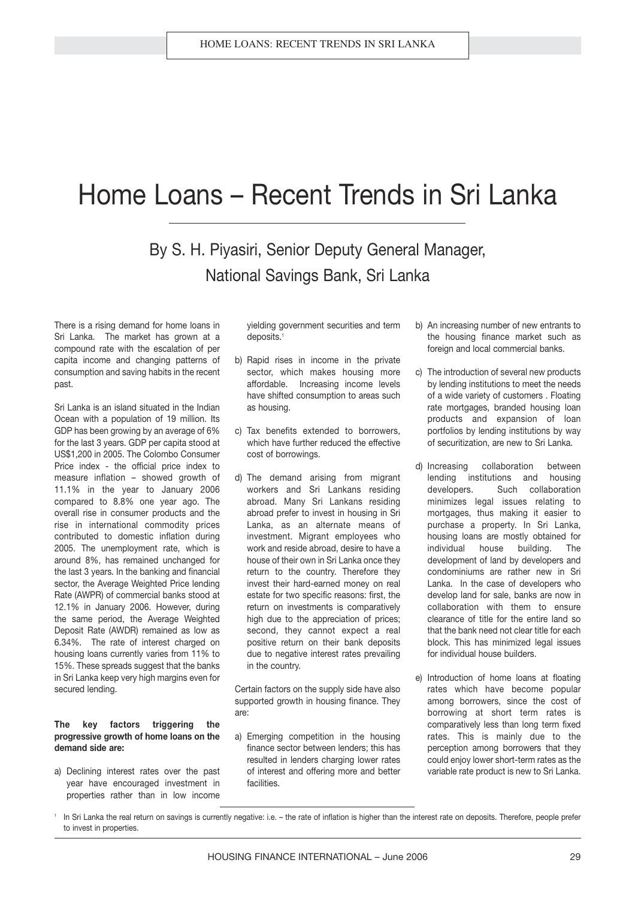### Home Loans – Recent Trends in Sri Lanka

### By S. H. Piyasiri, Senior Deputy General Manager, National Savings Bank, Sri Lanka

There is a rising demand for home loans in Sri Lanka. The market has grown at a compound rate with the escalation of per capita income and changing patterns of consumption and saving habits in the recent past.

Sri Lanka is an island situated in the Indian Ocean with a population of 19 million. Its GDP has been growing by an average of 6% for the last 3 years. GDP per capita stood at US\$1,200 in 2005. The Colombo Consumer Price index - the official price index to measure inflation – showed growth of 11.1% in the year to January 2006 compared to 8.8% one year ago. The overall rise in consumer products and the rise in international commodity prices contributed to domestic inflation during 2005. The unemployment rate, which is around 8%, has remained unchanged for the last 3 years. In the banking and financial sector, the Average Weighted Price lending Rate (AWPR) of commercial banks stood at 12.1% in January 2006. However, during the same period, the Average Weighted Deposit Rate (AWDR) remained as low as 6.34%. The rate of interest charged on housing loans currently varies from 11% to 15%. These spreads suggest that the banks in Sri Lanka keep very high margins even for secured lending.

#### **The key factors triggering the progressive growth of home loans on the demand side are:**

a) Declining interest rates over the past year have encouraged investment in properties rather than in low income

yielding government securities and term deposits.<sup>1</sup>

- b) Rapid rises in income in the private sector, which makes housing more affordable. Increasing income levels have shifted consumption to areas such as housing.
- c) Tax benefits extended to borrowers. which have further reduced the effective cost of borrowings.
- d) The demand arising from migrant workers and Sri Lankans residing abroad. Many Sri Lankans residing abroad prefer to invest in housing in Sri Lanka, as an alternate means of investment. Migrant employees who work and reside abroad, desire to have a house of their own in Sri Lanka once they return to the country. Therefore they invest their hard-earned money on real estate for two specific reasons: first, the return on investments is comparatively high due to the appreciation of prices; second, they cannot expect a real positive return on their bank deposits due to negative interest rates prevailing in the country.

Certain factors on the supply side have also supported growth in housing finance. They are:

a) Emerging competition in the housing finance sector between lenders; this has resulted in lenders charging lower rates of interest and offering more and better facilities.

- b) An increasing number of new entrants to the housing finance market such as foreign and local commercial banks.
- c) The introduction of several new products by lending institutions to meet the needs of a wide variety of customers . Floating rate mortgages, branded housing loan products and expansion of loan portfolios by lending institutions by way of securitization, are new to Sri Lanka.
- d) Increasing collaboration between lending institutions and housing developers. Such collaboration minimizes legal issues relating to mortgages, thus making it easier to purchase a property. In Sri Lanka, housing loans are mostly obtained for individual house building. The development of land by developers and condominiums are rather new in Sri Lanka. In the case of developers who develop land for sale, banks are now in collaboration with them to ensure clearance of title for the entire land so that the bank need not clear title for each block. This has minimized legal issues for individual house builders.
- e) Introduction of home loans at floating rates which have become popular among borrowers, since the cost of borrowing at short term rates is comparatively less than long term fixed rates. This is mainly due to the perception among borrowers that they could enjoy lower short-term rates as the variable rate product is new to Sri Lanka.

<sup>1</sup> In Sri Lanka the real return on savings is currently negative: i.e. - the rate of inflation is higher than the interest rate on deposits. Therefore, people prefer to invest in properties.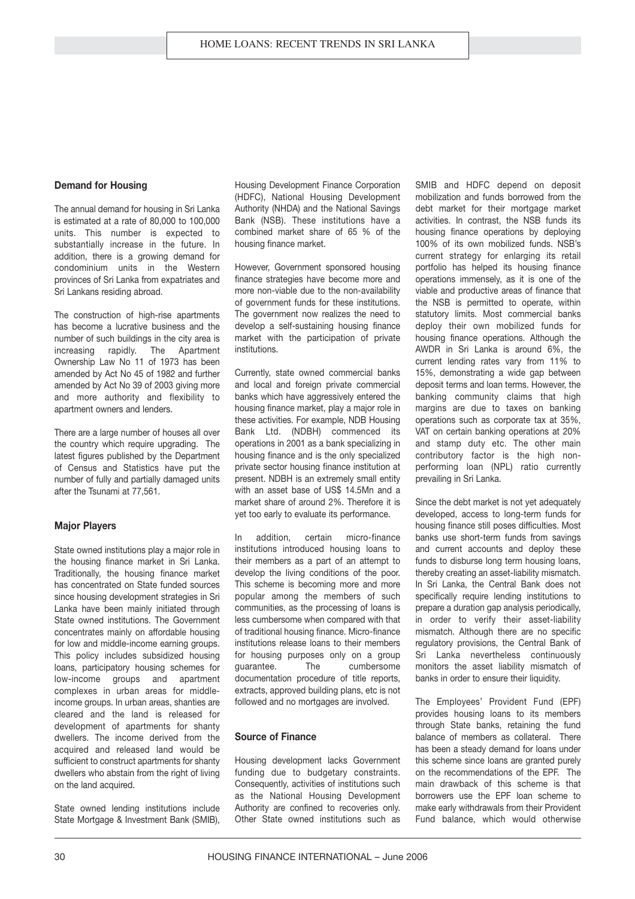#### **Demand for Housing**

The annual demand for housing in Sri Lanka is estimated at a rate of 80,000 to 100,000 units. This number is expected to substantially increase in the future. In addition, there is a growing demand for condominium units in the Western provinces of Sri Lanka from expatriates and Sri Lankans residing abroad.

The construction of high-rise apartments has become a lucrative business and the number of such buildings in the city area is increasing rapidly. The Apartment Ownership Law No 11 of 1973 has been amended by Act No 45 of 1982 and further amended by Act No 39 of 2003 giving more and more authority and flexibility to apartment owners and lenders.

There are a large number of houses all over the country which require upgrading. The latest figures published by the Department of Census and Statistics have put the number of fully and partially damaged units after the Tsunami at 77,561.

#### **Major Players**

State owned institutions play a major role in the housing finance market in Sri Lanka. Traditionally, the housing finance market has concentrated on State funded sources since housing development strategies in Sri Lanka have been mainly initiated through State owned institutions. The Government concentrates mainly on affordable housing for low and middle-income earning groups. This policy includes subsidized housing loans, participatory housing schemes for low-income groups and apartment complexes in urban areas for middleincome groups. In urban areas, shanties are cleared and the land is released for development of apartments for shanty dwellers. The income derived from the acquired and released land would be sufficient to construct apartments for shanty dwellers who abstain from the right of living on the land acquired.

State owned lending institutions include State Mortgage & Investment Bank (SMIB), Housing Development Finance Corporation (HDFC), National Housing Development Authority (NHDA) and the National Savings Bank (NSB). These institutions have a combined market share of 65 % of the housing finance market.

However, Government sponsored housing finance strategies have become more and more non-viable due to the non-availability of government funds for these institutions. The government now realizes the need to develop a self-sustaining housing finance market with the participation of private institutions.

Currently, state owned commercial banks and local and foreign private commercial banks which have aggressively entered the housing finance market, play a major role in these activities. For example, NDB Housing Bank Ltd. (NDBH) commenced its operations in 2001 as a bank specializing in housing finance and is the only specialized private sector housing finance institution at present. NDBH is an extremely small entity with an asset base of US\$ 14.5Mn and a market share of around 2%. Therefore it is yet too early to evaluate its performance.

In addition, certain micro-finance institutions introduced housing loans to their members as a part of an attempt to develop the living conditions of the poor. This scheme is becoming more and more popular among the members of such communities, as the processing of loans is less cumbersome when compared with that of traditional housing finance. Micro-finance institutions release loans to their members for housing purposes only on a group guarantee. The cumbersome documentation procedure of title reports, extracts, approved building plans, etc is not followed and no mortgages are involved.

#### **Source of Finance**

Housing development lacks Government funding due to budgetary constraints. Consequently, activities of institutions such as the National Housing Development Authority are confined to recoveries only. Other State owned institutions such as SMIB and HDFC depend on deposit mobilization and funds borrowed from the debt market for their mortgage market activities. In contrast, the NSB funds its housing finance operations by deploying 100% of its own mobilized funds. NSB's current strategy for enlarging its retail portfolio has helped its housing finance operations immensely, as it is one of the viable and productive areas of finance that the NSB is permitted to operate, within statutory limits. Most commercial banks deploy their own mobilized funds for housing finance operations. Although the AWDR in Sri Lanka is around 6%, the current lending rates vary from 11% to 15%, demonstrating a wide gap between deposit terms and loan terms. However, the banking community claims that high margins are due to taxes on banking operations such as corporate tax at 35%, VAT on certain banking operations at 20% and stamp duty etc. The other main contributory factor is the high nonperforming loan (NPL) ratio currently prevailing in Sri Lanka.

Since the debt market is not yet adequately developed, access to long-term funds for housing finance still poses difficulties. Most banks use short-term funds from savings and current accounts and deploy these funds to disburse long term housing loans, thereby creating an asset-liability mismatch. In Sri Lanka, the Central Bank does not specifically require lending institutions to prepare a duration gap analysis periodically, in order to verify their asset-liability mismatch. Although there are no specific regulatory provisions, the Central Bank of Sri Lanka nevertheless continuously monitors the asset liability mismatch of banks in order to ensure their liquidity.

The Employees' Provident Fund (EPF) provides housing loans to its members through State banks, retaining the fund balance of members as collateral. There has been a steady demand for loans under this scheme since loans are granted purely on the recommendations of the EPF. The main drawback of this scheme is that borrowers use the EPF loan scheme to make early withdrawals from their Provident Fund balance, which would otherwise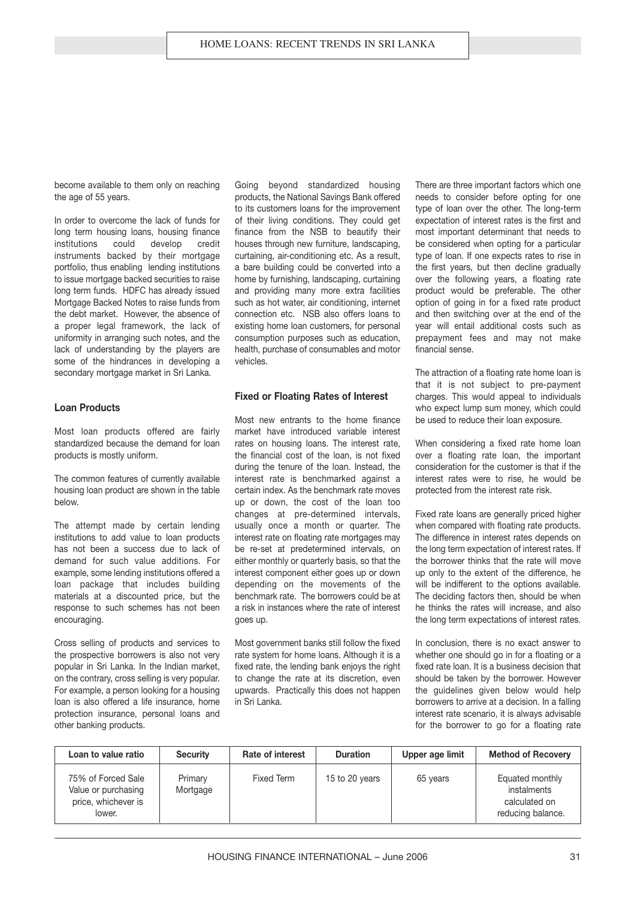become available to them only on reaching the age of 55 years.

In order to overcome the lack of funds for long term housing loans, housing finance institutions could develop credit instruments backed by their mortgage portfolio, thus enabling lending institutions to issue mortgage backed securities to raise long term funds. HDFC has already issued Mortgage Backed Notes to raise funds from the debt market. However, the absence of a proper legal framework, the lack of uniformity in arranging such notes, and the lack of understanding by the players are some of the hindrances in developing a secondary mortgage market in Sri Lanka.

#### **Loan Products**

Most loan products offered are fairly standardized because the demand for loan products is mostly uniform.

The common features of currently available housing loan product are shown in the table below.

The attempt made by certain lending institutions to add value to loan products has not been a success due to lack of demand for such value additions. For example, some lending institutions offered a loan package that includes building materials at a discounted price, but the response to such schemes has not been encouraging.

Cross selling of products and services to the prospective borrowers is also not very popular in Sri Lanka. In the Indian market, on the contrary, cross selling is very popular. For example, a person looking for a housing loan is also offered a life insurance, home protection insurance, personal loans and other banking products.

Going beyond standardized housing products, the National Savings Bank offered to its customers loans for the improvement of their living conditions. They could get finance from the NSB to beautify their houses through new furniture, landscaping, curtaining, air-conditioning etc. As a result, a bare building could be converted into a home by furnishing, landscaping, curtaining and providing many more extra facilities such as hot water, air conditioning, internet connection etc. NSB also offers loans to existing home loan customers, for personal consumption purposes such as education, health, purchase of consumables and motor vehicles.

#### **Fixed or Floating Rates of Interest**

Most new entrants to the home finance market have introduced variable interest rates on housing loans. The interest rate, the financial cost of the loan, is not fixed during the tenure of the loan. Instead, the interest rate is benchmarked against a certain index. As the benchmark rate moves up or down, the cost of the loan too changes at pre-determined intervals, usually once a month or quarter. The interest rate on floating rate mortgages may be re-set at predetermined intervals, on either monthly or quarterly basis, so that the interest component either goes up or down depending on the movements of the benchmark rate. The borrowers could be at a risk in instances where the rate of interest goes up.

Most government banks still follow the fixed rate system for home loans. Although it is a fixed rate, the lending bank enjoys the right to change the rate at its discretion, even upwards. Practically this does not happen in Sri Lanka.

There are three important factors which one needs to consider before opting for one type of loan over the other. The long-term expectation of interest rates is the first and most important determinant that needs to be considered when opting for a particular type of loan. If one expects rates to rise in the first years, but then decline gradually over the following years, a floating rate product would be preferable. The other option of going in for a fixed rate product and then switching over at the end of the year will entail additional costs such as prepayment fees and may not make financial sense.

The attraction of a floating rate home loan is that it is not subject to pre-payment charges. This would appeal to individuals who expect lump sum money, which could be used to reduce their loan exposure.

When considering a fixed rate home loan over a floating rate loan, the important consideration for the customer is that if the interest rates were to rise, he would be protected from the interest rate risk.

Fixed rate loans are generally priced higher when compared with floating rate products. The difference in interest rates depends on the long term expectation of interest rates. If the borrower thinks that the rate will move up only to the extent of the difference, he will be indifferent to the options available. The deciding factors then, should be when he thinks the rates will increase, and also the long term expectations of interest rates.

In conclusion, there is no exact answer to whether one should go in for a floating or a fixed rate loan. It is a business decision that should be taken by the borrower. However the guidelines given below would help borrowers to arrive at a decision. In a falling interest rate scenario, it is always advisable for the borrower to go for a floating rate

| Loan to value ratio                                                        | <b>Security</b>     | <b>Rate of interest</b> | <b>Duration</b> | Upper age limit | <b>Method of Recovery</b>                                            |
|----------------------------------------------------------------------------|---------------------|-------------------------|-----------------|-----------------|----------------------------------------------------------------------|
| 75% of Forced Sale<br>Value or purchasing<br>price, whichever is<br>lower. | Primary<br>Mortgage | Fixed Term              | 15 to 20 years  | 65 years        | Equated monthly<br>instalments<br>calculated on<br>reducing balance. |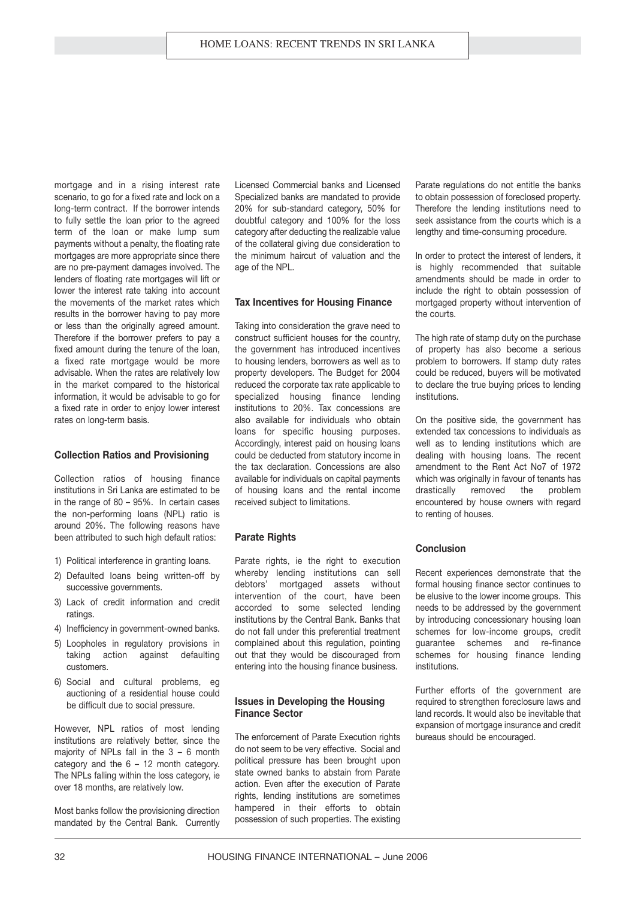mortgage and in a rising interest rate scenario, to go for a fixed rate and lock on a long-term contract. If the borrower intends to fully settle the loan prior to the agreed term of the loan or make lump sum payments without a penalty, the floating rate mortgages are more appropriate since there are no pre-payment damages involved. The lenders of floating rate mortgages will lift or lower the interest rate taking into account the movements of the market rates which results in the borrower having to pay more or less than the originally agreed amount. Therefore if the borrower prefers to pay a fixed amount during the tenure of the loan, a fixed rate mortgage would be more advisable. When the rates are relatively low in the market compared to the historical information, it would be advisable to go for a fixed rate in order to enjoy lower interest rates on long-term basis.

#### **Collection Ratios and Provisioning**

Collection ratios of housing finance institutions in Sri Lanka are estimated to be in the range of 80 – 95%. In certain cases the non-performing loans (NPL) ratio is around 20%. The following reasons have been attributed to such high default ratios:

- 1) Political interference in granting loans.
- 2) Defaulted loans being written-off by successive governments.
- 3) Lack of credit information and credit ratings.
- 4) Inefficiency in government-owned banks.
- 5) Loopholes in regulatory provisions in taking action against defaulting customers.
- 6) Social and cultural problems, eg auctioning of a residential house could be difficult due to social pressure.

However, NPL ratios of most lending institutions are relatively better, since the majority of NPLs fall in the 3 – 6 month category and the 6 – 12 month category. The NPLs falling within the loss category, ie over 18 months, are relatively low.

Most banks follow the provisioning direction mandated by the Central Bank. Currently

Licensed Commercial banks and Licensed Specialized banks are mandated to provide 20% for sub-standard category, 50% for doubtful category and 100% for the loss category after deducting the realizable value of the collateral giving due consideration to the minimum haircut of valuation and the age of the NPL.

#### **Tax Incentives for Housing Finance**

Taking into consideration the grave need to construct sufficient houses for the country, the government has introduced incentives to housing lenders, borrowers as well as to property developers. The Budget for 2004 reduced the corporate tax rate applicable to specialized housing finance lending institutions to 20%. Tax concessions are also available for individuals who obtain loans for specific housing purposes. Accordingly, interest paid on housing loans could be deducted from statutory income in the tax declaration. Concessions are also available for individuals on capital payments of housing loans and the rental income received subject to limitations.

#### **Parate Rights**

Parate rights, ie the right to execution whereby lending institutions can sell debtors' mortgaged assets without intervention of the court, have been accorded to some selected lending institutions by the Central Bank. Banks that do not fall under this preferential treatment complained about this regulation, pointing out that they would be discouraged from entering into the housing finance business.

#### **Issues in Developing the Housing Finance Sector**

The enforcement of Parate Execution rights do not seem to be very effective. Social and political pressure has been brought upon state owned banks to abstain from Parate action. Even after the execution of Parate rights, lending institutions are sometimes hampered in their efforts to obtain possession of such properties. The existing Parate regulations do not entitle the banks to obtain possession of foreclosed property. Therefore the lending institutions need to seek assistance from the courts which is a lengthy and time-consuming procedure.

In order to protect the interest of lenders, it is highly recommended that suitable amendments should be made in order to include the right to obtain possession of mortgaged property without intervention of the courts.

The high rate of stamp duty on the purchase of property has also become a serious problem to borrowers. If stamp duty rates could be reduced, buyers will be motivated to declare the true buying prices to lending institutions.

On the positive side, the government has extended tax concessions to individuals as well as to lending institutions which are dealing with housing loans. The recent amendment to the Rent Act No7 of 1972 which was originally in favour of tenants has drastically removed the problem encountered by house owners with regard to renting of houses.

#### **Conclusion**

Recent experiences demonstrate that the formal housing finance sector continues to be elusive to the lower income groups. This needs to be addressed by the government by introducing concessionary housing loan schemes for low-income groups, credit guarantee schemes and re-finance schemes for housing finance lending institutions.

Further efforts of the government are required to strengthen foreclosure laws and land records. It would also be inevitable that expansion of mortgage insurance and credit bureaus should be encouraged.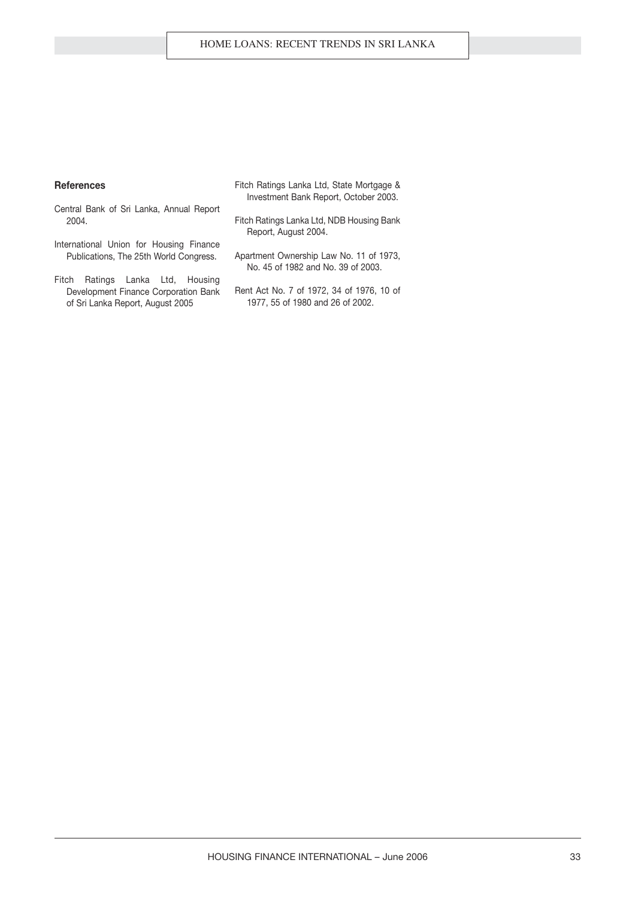#### **References**

- Central Bank of Sri Lanka, Annual Report 2004.
- International Union for Housing Finance Publications, The 25th World Congress.
- Fitch Ratings Lanka Ltd, Housing Development Finance Corporation Bank of Sri Lanka Report, August 2005
- Fitch Ratings Lanka Ltd, State Mortgage & Investment Bank Report, October 2003.
- Fitch Ratings Lanka Ltd, NDB Housing Bank Report, August 2004.
- Apartment Ownership Law No. 11 of 1973, No. 45 of 1982 and No. 39 of 2003.
- Rent Act No. 7 of 1972, 34 of 1976, 10 of 1977, 55 of 1980 and 26 of 2002.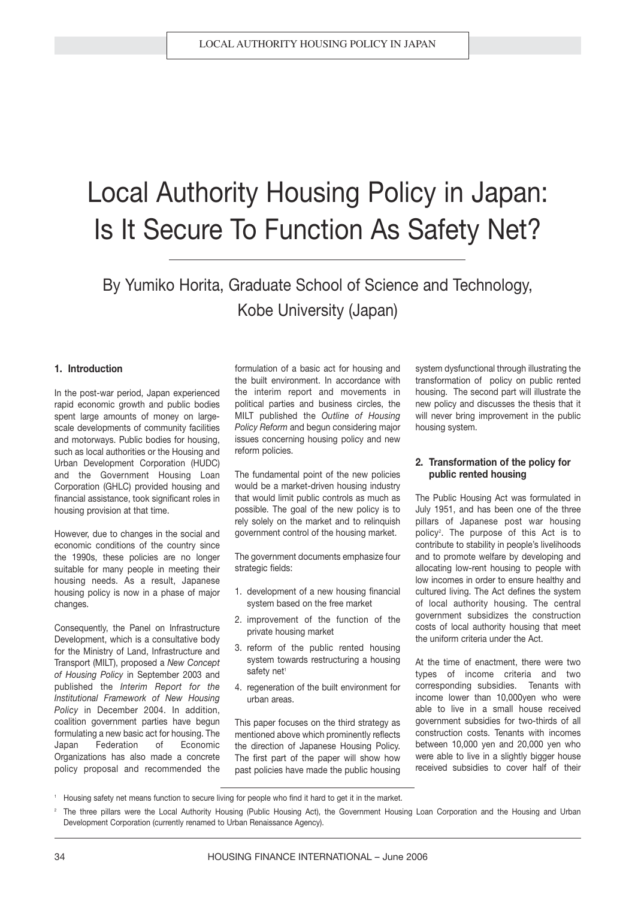## Local Authority Housing Policy in Japan: Is It Secure To Function As Safety Net?

By Yumiko Horita, Graduate School of Science and Technology, Kobe University (Japan)

#### **1. Introduction**

In the post-war period, Japan experienced rapid economic growth and public bodies spent large amounts of money on largescale developments of community facilities and motorways. Public bodies for housing, such as local authorities or the Housing and Urban Development Corporation (HUDC) and the Government Housing Loan Corporation (GHLC) provided housing and financial assistance, took significant roles in housing provision at that time.

However, due to changes in the social and economic conditions of the country since the 1990s, these policies are no longer suitable for many people in meeting their housing needs. As a result, Japanese housing policy is now in a phase of major changes.

Consequently, the Panel on Infrastructure Development, which is a consultative body for the Ministry of Land, Infrastructure and Transport (MILT), proposed a *New Concept of Housing Policy* in September 2003 and published the *Interim Report for the Institutional Framework of New Housing Policy* in December 2004. In addition, coalition government parties have begun formulating a new basic act for housing. The Japan Federation of Economic Organizations has also made a concrete policy proposal and recommended the

formulation of a basic act for housing and the built environment. In accordance with the interim report and movements in political parties and business circles, the MILT published the *Outline of Housing Policy Reform* and begun considering major issues concerning housing policy and new reform policies.

The fundamental point of the new policies would be a market-driven housing industry that would limit public controls as much as possible. The goal of the new policy is to rely solely on the market and to relinquish government control of the housing market.

The government documents emphasize four strategic fields:

- 1. development of a new housing financial system based on the free market
- 2. improvement of the function of the private housing market
- 3. reform of the public rented housing system towards restructuring a housing safety net<sup>1</sup>
- 4. regeneration of the built environment for urban areas.

This paper focuses on the third strategy as mentioned above which prominently reflects the direction of Japanese Housing Policy. The first part of the paper will show how past policies have made the public housing system dysfunctional through illustrating the transformation of policy on public rented housing. The second part will illustrate the new policy and discusses the thesis that it will never bring improvement in the public housing system.

#### **2. Transformation of the policy for public rented housing**

The Public Housing Act was formulated in July 1951, and has been one of the three pillars of Japanese post war housing policy<sup>2</sup> . The purpose of this Act is to contribute to stability in people's livelihoods and to promote welfare by developing and allocating low-rent housing to people with low incomes in order to ensure healthy and cultured living. The Act defines the system of local authority housing. The central government subsidizes the construction costs of local authority housing that meet the uniform criteria under the Act.

At the time of enactment, there were two types of income criteria and two corresponding subsidies. Tenants with income lower than 10,000yen who were able to live in a small house received government subsidies for two-thirds of all construction costs. Tenants with incomes between 10,000 yen and 20,000 yen who were able to live in a slightly bigger house received subsidies to cover half of their

<sup>1</sup> Housing safety net means function to secure living for people who find it hard to get it in the market.

<sup>2</sup> The three pillars were the Local Authority Housing (Public Housing Act), the Government Housing Loan Corporation and the Housing and Urban Development Corporation (currently renamed to Urban Renaissance Agency).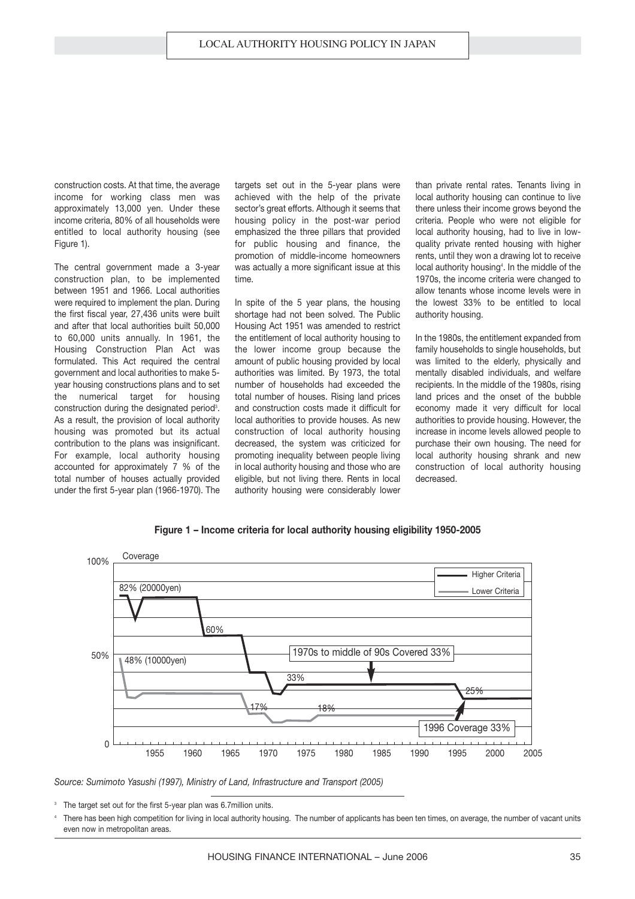construction costs. At that time, the average income for working class men was approximately 13,000 yen. Under these income criteria, 80% of all households were entitled to local authority housing (see Figure 1).

The central government made a 3-year construction plan, to be implemented between 1951 and 1966. Local authorities were required to implement the plan. During the first fiscal year, 27,436 units were built and after that local authorities built 50,000 to 60,000 units annually. In 1961, the Housing Construction Plan Act was formulated. This Act required the central government and local authorities to make 5 year housing constructions plans and to set the numerical target for housing construction during the designated period<sup>3</sup>. As a result, the provision of local authority housing was promoted but its actual contribution to the plans was insignificant. For example, local authority housing accounted for approximately 7 % of the total number of houses actually provided under the first 5-year plan (1966-1970). The targets set out in the 5-year plans were achieved with the help of the private sector's great efforts. Although it seems that housing policy in the post-war period emphasized the three pillars that provided for public housing and finance, the promotion of middle-income homeowners was actually a more significant issue at this time.

In spite of the 5 year plans, the housing shortage had not been solved. The Public Housing Act 1951 was amended to restrict the entitlement of local authority housing to the lower income group because the amount of public housing provided by local authorities was limited. By 1973, the total number of households had exceeded the total number of houses. Rising land prices and construction costs made it difficult for local authorities to provide houses. As new construction of local authority housing decreased, the system was criticized for promoting inequality between people living in local authority housing and those who are eligible, but not living there. Rents in local authority housing were considerably lower than private rental rates. Tenants living in local authority housing can continue to live there unless their income grows beyond the criteria. People who were not eligible for local authority housing, had to live in lowquality private rented housing with higher rents, until they won a drawing lot to receive local authority housing<sup>4</sup>. In the middle of the 1970s, the income criteria were changed to allow tenants whose income levels were in the lowest 33% to be entitled to local authority housing.

In the 1980s, the entitlement expanded from family households to single households, but was limited to the elderly, physically and mentally disabled individuals, and welfare recipients. In the middle of the 1980s, rising land prices and the onset of the bubble economy made it very difficult for local authorities to provide housing. However, the increase in income levels allowed people to purchase their own housing. The need for local authority housing shrank and new construction of local authority housing decreased.





*Source: Sumimoto Yasushi (1997), Ministry of Land, Infrastructure and Transport (2005)*

The target set out for the first 5-year plan was 6.7million units.

There has been high competition for living in local authority housing. The number of applicants has been ten times, on average, the number of vacant units even now in metropolitan areas.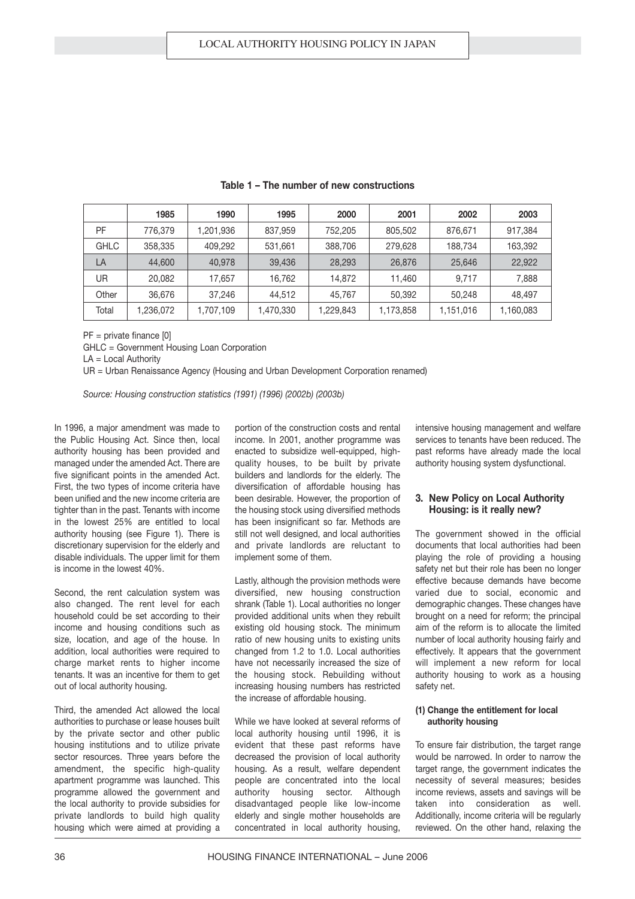|       | 1985      | 1990      | 1995      | 2000      | 2001      | 2002      | 2003      |
|-------|-----------|-----------|-----------|-----------|-----------|-----------|-----------|
| PF    | 776.379   | 1,201,936 | 837,959   | 752,205   | 805,502   | 876,671   | 917,384   |
| GHLC  | 358,335   | 409.292   | 531,661   | 388,706   | 279,628   | 188.734   | 163,392   |
| LA    | 44,600    | 40.978    | 39,436    | 28,293    | 26,876    | 25,646    | 22,922    |
| UR    | 20,082    | 17.657    | 16.762    | 14,872    | 11.460    | 9.717     | 7,888     |
| Other | 36,676    | 37,246    | 44.512    | 45.767    | 50,392    | 50.248    | 48.497    |
| Total | 1,236,072 | 1,707,109 | 1,470,330 | 1,229,843 | 1,173,858 | 1,151,016 | 1,160,083 |

**Table 1 – The number of new constructions**

PF = private finance [0]

GHLC = Government Housing Loan Corporation

LA = Local Authority

UR = Urban Renaissance Agency (Housing and Urban Development Corporation renamed)

*Source: Housing construction statistics (1991) (1996) (2002b) (2003b)*

In 1996, a major amendment was made to the Public Housing Act. Since then, local authority housing has been provided and managed under the amended Act. There are five significant points in the amended Act. First, the two types of income criteria have been unified and the new income criteria are tighter than in the past. Tenants with income in the lowest 25% are entitled to local authority housing (see Figure 1). There is discretionary supervision for the elderly and disable individuals. The upper limit for them is income in the lowest 40%.

Second, the rent calculation system was also changed. The rent level for each household could be set according to their income and housing conditions such as size, location, and age of the house. In addition, local authorities were required to charge market rents to higher income tenants. It was an incentive for them to get out of local authority housing.

Third, the amended Act allowed the local authorities to purchase or lease houses built by the private sector and other public housing institutions and to utilize private sector resources. Three years before the amendment, the specific high-quality apartment programme was launched. This programme allowed the government and the local authority to provide subsidies for private landlords to build high quality housing which were aimed at providing a

portion of the construction costs and rental income. In 2001, another programme was enacted to subsidize well-equipped, highquality houses, to be built by private builders and landlords for the elderly. The diversification of affordable housing has been desirable. However, the proportion of the housing stock using diversified methods has been insignificant so far. Methods are still not well designed, and local authorities and private landlords are reluctant to implement some of them.

Lastly, although the provision methods were diversified, new housing construction shrank (Table 1). Local authorities no longer provided additional units when they rebuilt existing old housing stock. The minimum ratio of new housing units to existing units changed from 1.2 to 1.0. Local authorities have not necessarily increased the size of the housing stock. Rebuilding without increasing housing numbers has restricted the increase of affordable housing.

While we have looked at several reforms of local authority housing until 1996, it is evident that these past reforms have decreased the provision of local authority housing. As a result, welfare dependent people are concentrated into the local authority housing sector. Although disadvantaged people like low-income elderly and single mother households are concentrated in local authority housing,

intensive housing management and welfare services to tenants have been reduced. The past reforms have already made the local authority housing system dysfunctional.

#### **3. New Policy on Local Authority Housing: is it really new?**

The government showed in the official documents that local authorities had been playing the role of providing a housing safety net but their role has been no longer effective because demands have become varied due to social, economic and demographic changes. These changes have brought on a need for reform; the principal aim of the reform is to allocate the limited number of local authority housing fairly and effectively. It appears that the government will implement a new reform for local authority housing to work as a housing safety net.

#### **(1) Change the entitlement for local authority housing**

To ensure fair distribution, the target range would be narrowed. In order to narrow the target range, the government indicates the necessity of several measures; besides income reviews, assets and savings will be<br>taken into consideration as well taken into consideration as Additionally, income criteria will be regularly reviewed. On the other hand, relaxing the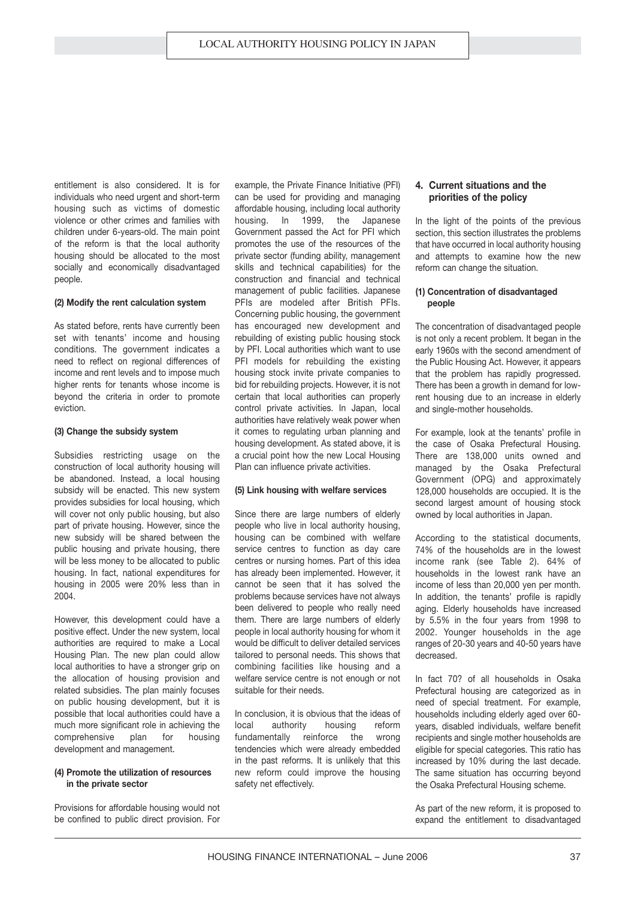entitlement is also considered. It is for individuals who need urgent and short-term housing such as victims of domestic violence or other crimes and families with children under 6-years-old. The main point of the reform is that the local authority housing should be allocated to the most socially and economically disadvantaged people.

#### **(2) Modify the rent calculation system**

As stated before, rents have currently been set with tenants' income and housing conditions. The government indicates a need to reflect on regional differences of income and rent levels and to impose much higher rents for tenants whose income is beyond the criteria in order to promote eviction.

#### **(3) Change the subsidy system**

Subsidies restricting usage on the construction of local authority housing will be abandoned. Instead, a local housing subsidy will be enacted. This new system provides subsidies for local housing, which will cover not only public housing, but also part of private housing. However, since the new subsidy will be shared between the public housing and private housing, there will be less money to be allocated to public housing. In fact, national expenditures for housing in 2005 were 20% less than in 2004.

However, this development could have a positive effect. Under the new system, local authorities are required to make a Local Housing Plan. The new plan could allow local authorities to have a stronger grip on the allocation of housing provision and related subsidies. The plan mainly focuses on public housing development, but it is possible that local authorities could have a much more significant role in achieving the comprehensive plan for housing development and management.

#### **(4) Promote the utilization of resources in the private sector**

Provisions for affordable housing would not be confined to public direct provision. For

example, the Private Finance Initiative (PFI) can be used for providing and managing affordable housing, including local authority housing. In 1999, the Japanese Government passed the Act for PFI which promotes the use of the resources of the private sector (funding ability, management skills and technical capabilities) for the construction and financial and technical management of public facilities. Japanese PFIs are modeled after British PFIs. Concerning public housing, the government has encouraged new development and rebuilding of existing public housing stock by PFI. Local authorities which want to use PFI models for rebuilding the existing housing stock invite private companies to bid for rebuilding projects. However, it is not certain that local authorities can properly control private activities. In Japan, local authorities have relatively weak power when it comes to regulating urban planning and housing development. As stated above, it is a crucial point how the new Local Housing Plan can influence private activities.

#### **(5) Link housing with welfare services**

Since there are large numbers of elderly people who live in local authority housing, housing can be combined with welfare service centres to function as day care centres or nursing homes. Part of this idea has already been implemented. However, it cannot be seen that it has solved the problems because services have not always been delivered to people who really need them. There are large numbers of elderly people in local authority housing for whom it would be difficult to deliver detailed services tailored to personal needs. This shows that combining facilities like housing and a welfare service centre is not enough or not suitable for their needs.

In conclusion, it is obvious that the ideas of local authority housing reform fundamentally reinforce the wrong tendencies which were already embedded in the past reforms. It is unlikely that this new reform could improve the housing safety net effectively.

#### **4. Current situations and the priorities of the policy**

In the light of the points of the previous section, this section illustrates the problems that have occurred in local authority housing and attempts to examine how the new reform can change the situation.

#### **(1) Concentration of disadvantaged people**

The concentration of disadvantaged people is not only a recent problem. It began in the early 1960s with the second amendment of the Public Housing Act. However, it appears that the problem has rapidly progressed. There has been a growth in demand for lowrent housing due to an increase in elderly and single-mother households.

For example, look at the tenants' profile in the case of Osaka Prefectural Housing. There are 138,000 units owned and managed by the Osaka Prefectural Government (OPG) and approximately 128,000 households are occupied. It is the second largest amount of housing stock owned by local authorities in Japan.

According to the statistical documents, 74% of the households are in the lowest income rank (see Table 2). 64% of households in the lowest rank have an income of less than 20,000 yen per month. In addition, the tenants' profile is rapidly aging. Elderly households have increased by 5.5% in the four years from 1998 to 2002. Younger households in the age ranges of 20-30 years and 40-50 years have decreased.

In fact 70? of all households in Osaka Prefectural housing are categorized as in need of special treatment. For example, households including elderly aged over 60 years, disabled individuals, welfare benefit recipients and single mother households are eligible for special categories. This ratio has increased by 10% during the last decade. The same situation has occurring beyond the Osaka Prefectural Housing scheme.

As part of the new reform, it is proposed to expand the entitlement to disadvantaged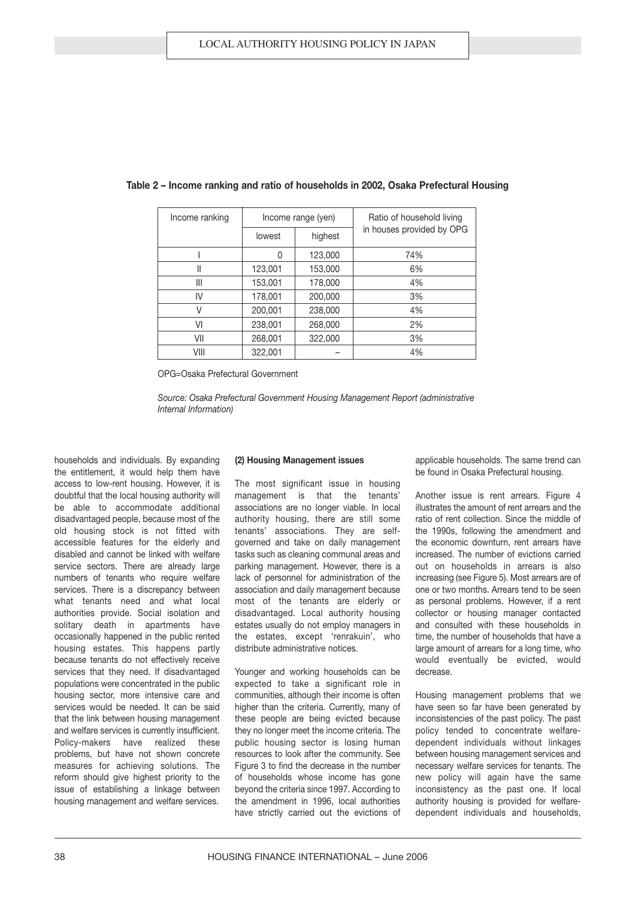| Income ranking |                   | Income range (yen) | Ratio of household living |  |
|----------------|-------------------|--------------------|---------------------------|--|
|                | highest<br>lowest |                    | in houses provided by OPG |  |
|                | 0                 | 123,000            | 74%                       |  |
| Ш              | 123,001           | 153,000            | 6%                        |  |
| Ш              | 153,001           | 178,000            | 4%                        |  |
| IV             | 178,001           | 200,000            | 3%                        |  |
| V              | 200,001           | 238,000            | 4%                        |  |
| VI             | 238,001           | 268,000            | 2%                        |  |
| VII            | 268,001           | 322,000            | 3%                        |  |
| VIII           | 322,001           |                    | 4%                        |  |

#### **Table 2 – Income ranking and ratio of households in 2002, Osaka Prefectural Housing**

OPG=Osaka Prefectural Government

*Source: Osaka Prefectural Government Housing Management Report (administrative Internal Information)*

households and individuals. By expanding the entitlement, it would help them have access to low-rent housing. However, it is doubtful that the local housing authority will be able to accommodate additional disadvantaged people, because most of the old housing stock is not fitted with accessible features for the elderly and disabled and cannot be linked with welfare service sectors. There are already large numbers of tenants who require welfare services. There is a discrepancy between what tenants need and what local authorities provide. Social isolation and solitary death in apartments have occasionally happened in the public rented housing estates. This happens partly because tenants do not effectively receive services that they need. If disadvantaged populations were concentrated in the public housing sector, more intensive care and services would be needed. It can be said that the link between housing management and welfare services is currently insufficient. Policy-makers have realized these problems, but have not shown concrete measures for achieving solutions. The reform should give highest priority to the issue of establishing a linkage between housing management and welfare services.

#### **(2) Housing Management issues**

The most significant issue in housing management is that the tenants' associations are no longer viable. In local authority housing, there are still some tenants' associations. They are selfgoverned and take on daily management tasks such as cleaning communal areas and parking management. However, there is a lack of personnel for administration of the association and daily management because most of the tenants are elderly or disadvantaged. Local authority housing estates usually do not employ managers in the estates, except 'renrakuin', who distribute administrative notices.

Younger and working households can be expected to take a significant role in communities, although their income is often higher than the criteria. Currently, many of these people are being evicted because they no longer meet the income criteria. The public housing sector is losing human resources to look after the community. See Figure 3 to find the decrease in the number of households whose income has gone beyond the criteria since 1997. According to the amendment in 1996, local authorities have strictly carried out the evictions of applicable households. The same trend can be found in Osaka Prefectural housing.

Another issue is rent arrears. Figure 4 illustrates the amount of rent arrears and the ratio of rent collection. Since the middle of the 1990s, following the amendment and the economic downturn, rent arrears have increased. The number of evictions carried out on households in arrears is also increasing (see Figure 5). Most arrears are of one or two months. Arrears tend to be seen as personal problems. However, if a rent collector or housing manager contacted and consulted with these households in time, the number of households that have a large amount of arrears for a long time, who would eventually be evicted, would decrease.

Housing management problems that we have seen so far have been generated by inconsistencies of the past policy. The past policy tended to concentrate welfaredependent individuals without linkages between housing management services and necessary welfare services for tenants. The new policy will again have the same inconsistency as the past one. If local authority housing is provided for welfaredependent individuals and households,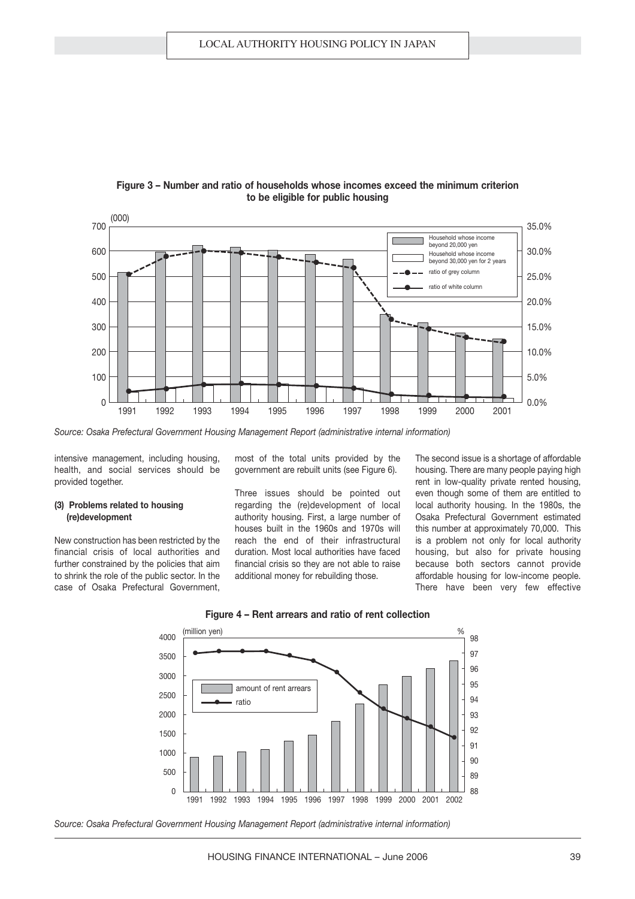

#### **Figure 3 – Number and ratio of households whose incomes exceed the minimum criterion to be eligible for public housing**

*Source: Osaka Prefectural Government Housing Management Report (administrative internal information)*

intensive management, including housing, health, and social services should be provided together.

#### **(3) Problems related to housing (re)development**

New construction has been restricted by the financial crisis of local authorities and further constrained by the policies that aim to shrink the role of the public sector. In the case of Osaka Prefectural Government, most of the total units provided by the government are rebuilt units (see Figure 6).

Three issues should be pointed out regarding the (re)development of local authority housing. First, a large number of houses built in the 1960s and 1970s will reach the end of their infrastructural duration. Most local authorities have faced financial crisis so they are not able to raise additional money for rebuilding those.

The second issue is a shortage of affordable housing. There are many people paying high rent in low-quality private rented housing, even though some of them are entitled to local authority housing. In the 1980s, the Osaka Prefectural Government estimated this number at approximately 70,000. This is a problem not only for local authority housing, but also for private housing because both sectors cannot provide affordable housing for low-income people. There have been very few effective





*Source: Osaka Prefectural Government Housing Management Report (administrative internal information)*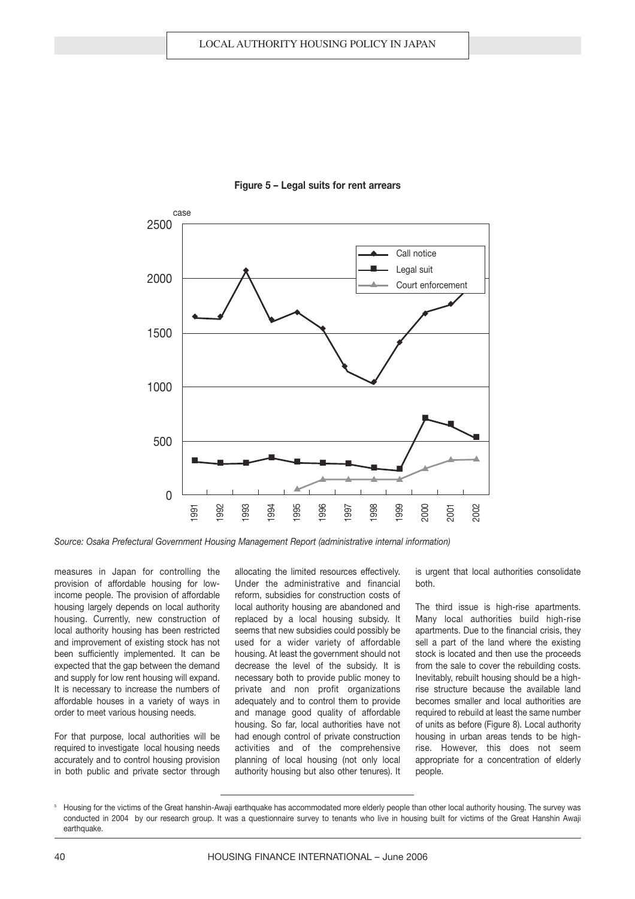

#### **Figure 5 – Legal suits for rent arrears**

*Source: Osaka Prefectural Government Housing Management Report (administrative internal information)*

measures in Japan for controlling the provision of affordable housing for lowincome people. The provision of affordable housing largely depends on local authority housing. Currently, new construction of local authority housing has been restricted and improvement of existing stock has not been sufficiently implemented. It can be expected that the gap between the demand and supply for low rent housing will expand. It is necessary to increase the numbers of affordable houses in a variety of ways in order to meet various housing needs.

For that purpose, local authorities will be required to investigate local housing needs accurately and to control housing provision in both public and private sector through allocating the limited resources effectively. Under the administrative and financial reform, subsidies for construction costs of local authority housing are abandoned and replaced by a local housing subsidy. It seems that new subsidies could possibly be used for a wider variety of affordable housing. At least the government should not decrease the level of the subsidy. It is necessary both to provide public money to private and non profit organizations adequately and to control them to provide and manage good quality of affordable housing. So far, local authorities have not had enough control of private construction activities and of the comprehensive planning of local housing (not only local authority housing but also other tenures). It is urgent that local authorities consolidate both.

The third issue is high-rise apartments. Many local authorities build high-rise apartments. Due to the financial crisis, they sell a part of the land where the existing stock is located and then use the proceeds from the sale to cover the rebuilding costs. Inevitably, rebuilt housing should be a highrise structure because the available land becomes smaller and local authorities are required to rebuild at least the same number of units as before (Figure 8). Local authority housing in urban areas tends to be highrise. However, this does not seem appropriate for a concentration of elderly people.

<sup>&</sup>lt;sup>5</sup> Housing for the victims of the Great hanshin-Awaii earthquake has accommodated more elderly people than other local authority housing. The survey was conducted in 2004 by our research group. It was a questionnaire survey to tenants who live in housing built for victims of the Great Hanshin Awaji earthquake.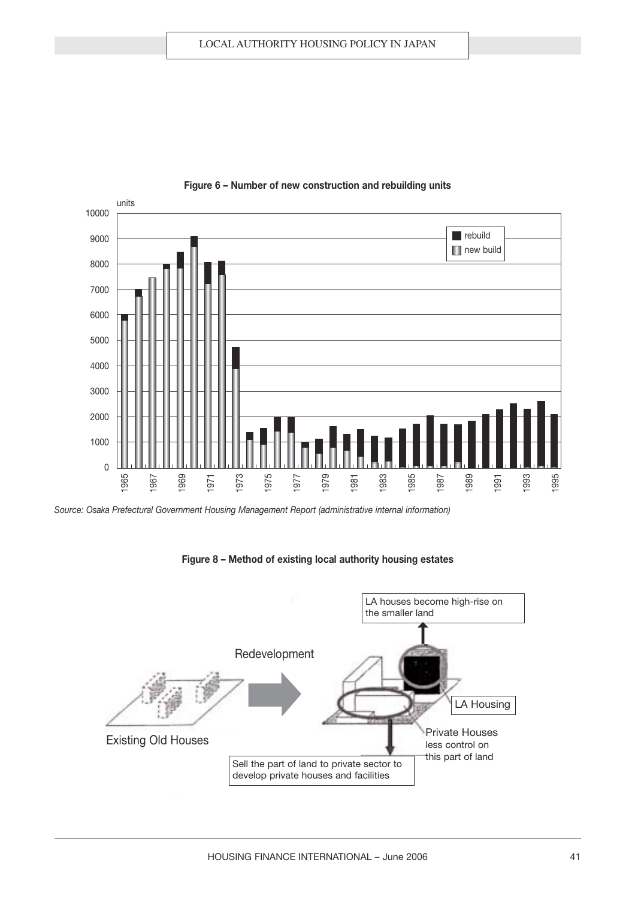

#### **Figure 6 – Number of new construction and rebuilding units**

*Source: Osaka Prefectural Government Housing Management Report (administrative internal information)*

#### **Figure 8 – Method of existing local authority housing estates**